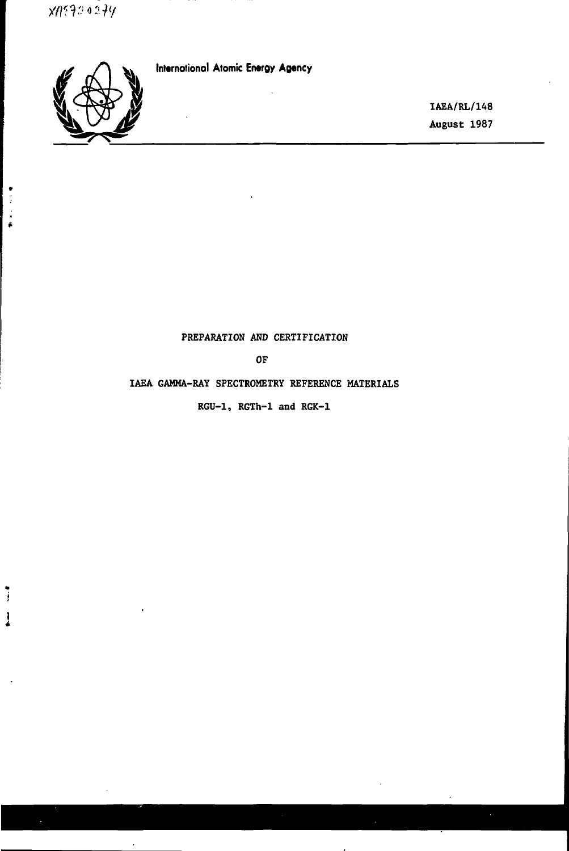

 $\frac{1}{2}$  $\ddot{\cdot}$  $\hat{\bullet}$ 

 $\mathbf{I}$ 

 $\overline{a}$ 

**International Atomic Energy Agency**

**IAEA/RL/148 August 1987**

## **PREPARATION AND CERTIFICATION**

**OF**

## **IAEA GAMMA-RAY SPECTROMETRY REFERENCE MATERIALS**

**RGU-1, RGTh-1 and RGK-1**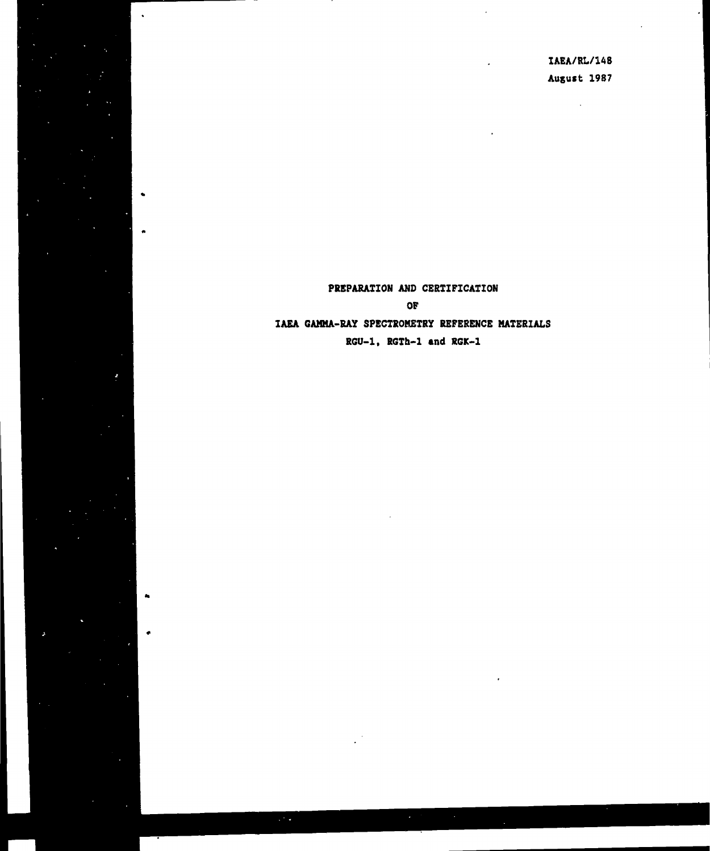IAEA/RL/148 August 1987

 $\mathbf{A}$ 

# PREPARATION AND CERTIFICATION OF **IAEA GAMMA-RAY** SPECTROMETRY REFERENCE MATERIALS RGU-1, RGTh-1 **and** RGK-1

 $\ddot{\phantom{1}}$ 

 $\bullet$ 

 $\bullet$ 

 $\bullet$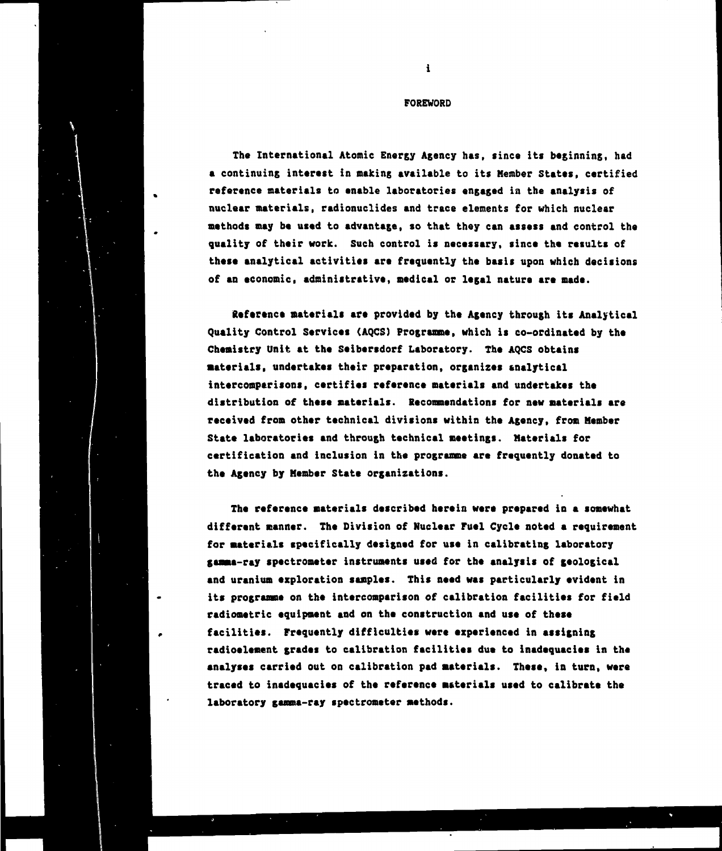#### **FOREWORD**

**The International Atomic Energy Agency has, since its beginning, had a continuing interest in making available to its Member States, certified reference materials to enable laboratories engaged in the analysis of nuclear materials, radionuclides and trace elements for which nuclear methods may be used to advantage, so that they can assess and control the quality of their work. Such control is necessary, since the results of these analytical activities are frequently the basis upon which decisions of an economic, administrative, medical or legal nature are made.**

**Reference materials are provided by the Agency through its Analytical Quality Control Services (AQCS) Programme, which is co-ordinated by the Chemistry Unit at the Seibersdorf Laboratory. The AQCS obtains materials, undertakes their preparation, organizes analytical intercomparisons, certifies reference materials and undertakes the distribution of these materials. Recommendations for new materials are received from other technical divisions within the Agency, from Member State laboratories and through technical meetings. Materials for certification and inclusion in the programme are frequently donated to the Agency by Member State organizations.**

**The reference materials described herein were prepared in a somewhat different manner. The Division of Nuclear Fuel Cycle noted a requirement for materials specifically designed for use in calibrating laboratory gamma-ray spectrometer instruments used for the analysis of geological and uranium exploration samples. This need was particularly evident in its programme on the intercomparison of calibration facilities for field radiometric equipment and on the construction and use of these facilities. Frequently difficulties were experienced in assigning radioelement grades to calibration facilities due to inadequacies in the analyses carried out on calibration pad materials. These, in turn, were traced to inadequacies of the reference materials used to calibrate the laboratory gamma-ray spectrometer methods.**

 $\mathbf{i}$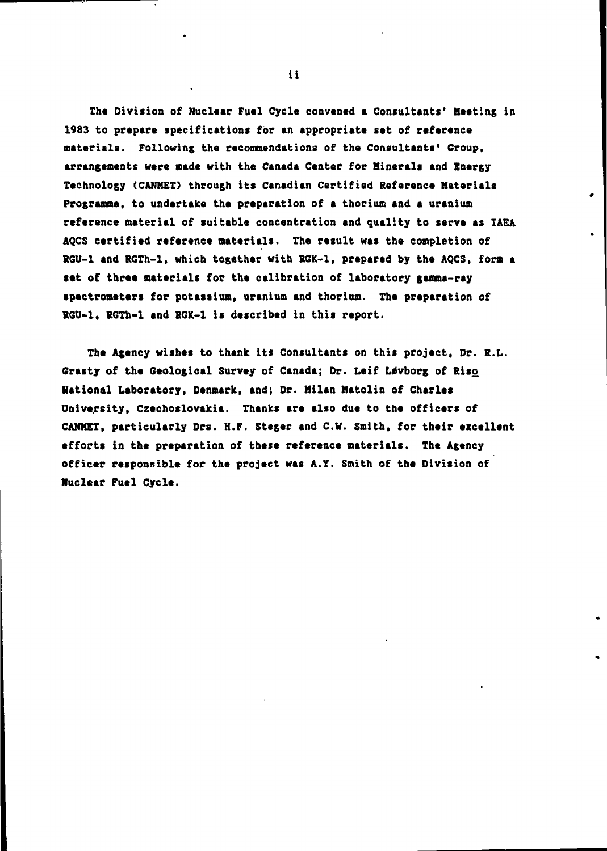**Tha Division of Nuclaar Fual Cycla convanad a Consultants' Maeting in 1983 to prapara specifications for an appropriata sat of rafaranca materials. Following tha recommendations of the Consultants' Group, arrangements ware made with the Canada Center for Hinerals and Energy Technology (CANMEI) through its Canadian Certified Reference Materials Programme, to undertake the preparation of a thorium and a uranium reference material of suitable concentration and quality to serve as IAEA AQCS certified reference materials. The result was the completion of RGU-1 and RGTh-1, which together with BGK-1, prepared by the AQCS, form a set of three materials for the calibration of laboratory gamma-ray spectrometers for potassium, uranium and thorium. The preparation of RGU-1, RGTh-1 and BGK-1 is described in this report.**

**The Agency wishes to thank its Consultants on this project. Or. R.L. Grasty of the Geological Survey of Canada; Dr. Leif Ldvborg of Hiso National Laboratory, Denmark, and; Dr. Milan Matolin of Charles University, Czechoslovakia. Thanks are also due to the officers of CAMMET, particularly Drs. H.F. Stager and C.V. Smith, for their excellent efforts in the preparation of these reference materials. The Agency officer responsible for the project was A.Y. Smith of the Division of Nuclear Fuel Cycle.**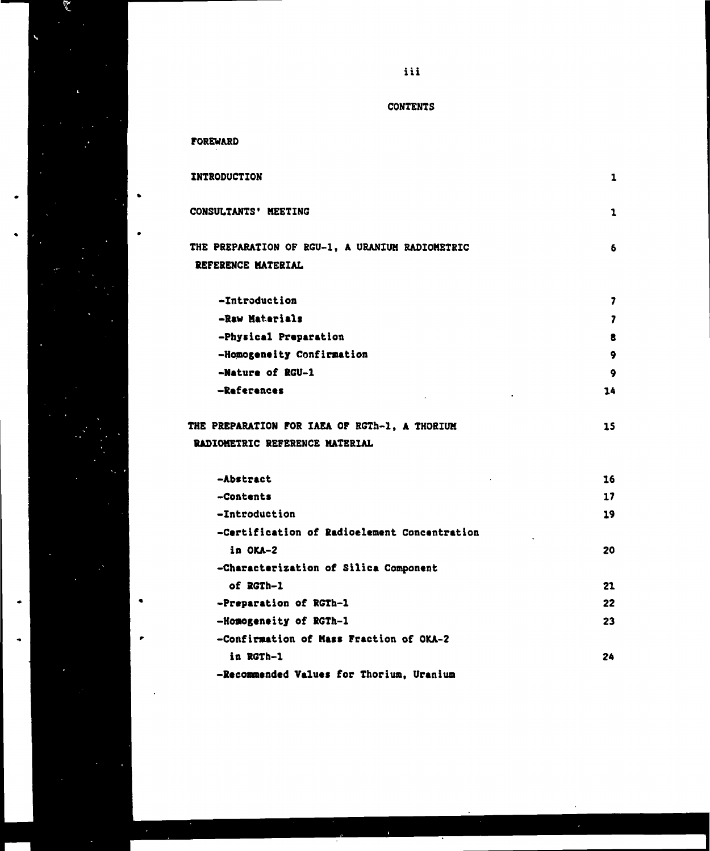

 $\bullet$ 

 $\bullet$ 

**iii**

## **CONTENTS**

### **FOREWARD**

**-Homogeneity of RGTh-1**

**in RGTh-1**

**-Confirmation of Mass Fraction of OKA-2**

**-Recommended Values for Thorium, Uranium**

| <b>INTRODUCTION</b>                             | 1         |
|-------------------------------------------------|-----------|
| CONSULTANTS' MEETING                            | 1         |
| THE PREPARATION OF RGU-1, A URANIUM RADIOMETRIC | 6         |
| REFERENCE MATERIAL                              |           |
| -Introduction                                   | 7         |
| -Raw Materials                                  | 7         |
| -Physical Preparation                           | 8         |
| -Homogeneity Confirmation                       | ۰         |
| -Nature of RGU-1                                | $\bullet$ |
| -References                                     | 14        |
| THE PREPARATION FOR IAEA OF RGTh-1, A THORIUM   | 15        |
| <b>RADIOMETRIC REFERENCE MATERIAL</b>           |           |
| -Abstract                                       | 16        |
| -Contents                                       | 17        |
| -Introduction                                   | 19        |
| -Certification of Radioelement Concentration    |           |
| in OKA-2                                        | 20        |
| -Characterization of Silica Component           |           |
| of RGTh-1                                       | 21        |
| -Preparation of RGTh-1                          | 22        |

**23**

**24**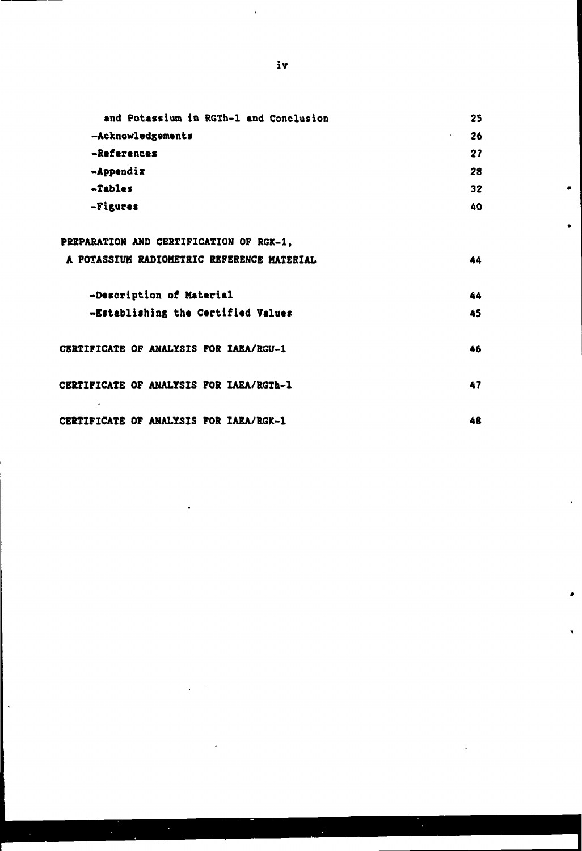| and Potassium in RGTh-1 and Conclusion         | 25 |
|------------------------------------------------|----|
| -Acknowledgements                              | 26 |
| -References                                    | 27 |
| $-A$ ppendix                                   | 28 |
| -Tables                                        | 32 |
| -Figures                                       | 40 |
| PREPARATION AND CERTIFICATION OF RGK-1.        |    |
| A POTASSIUM RADIOMETRIC REFERENCE MATERIAL     | 44 |
| -Description of Material                       | 44 |
| -Establishing the Certified Values             | 45 |
| <b>CERTIFICATE OF ANALYSIS FOR IAEA/RGU-1</b>  | 46 |
| <b>CERTIFICATE OF ANALYSIS FOR IAEA/RGTh-1</b> | 47 |
| <b>CERTIFICATE OF ANALYSIS FOR IAEA/RGK-1</b>  | 48 |

 $\ddot{\phantom{a}}$ 

 $\ddot{\phantom{0}}$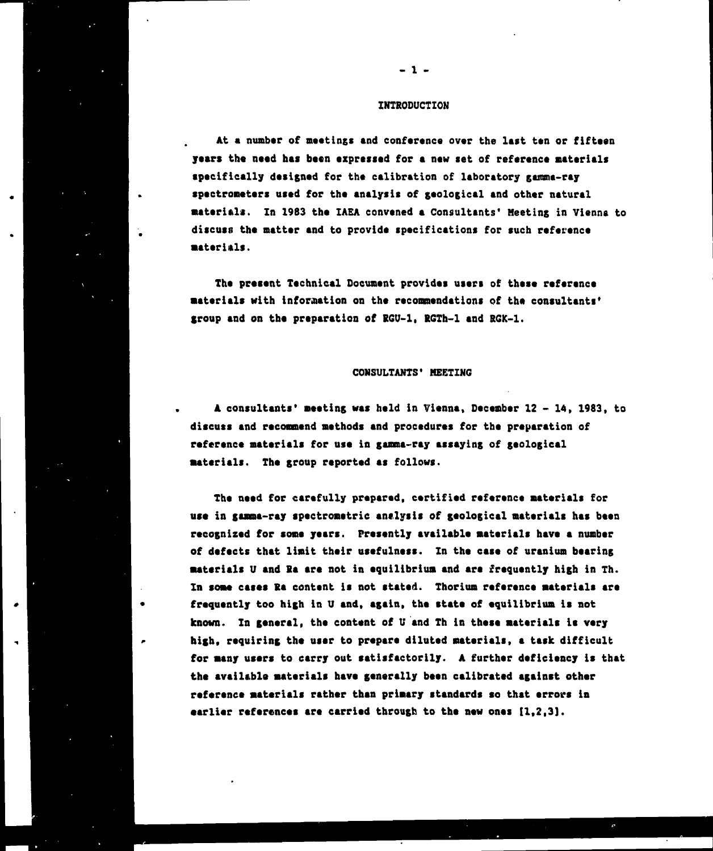#### **INTRODUCTION**

**- 1 -**

At a number of meetings and conference over the last ten or fifteen **years the need his been expressed for i new set of reference materials specifically designed for the calibration of laboratory ganma-ray spectroneters used for the analysis of geological and other natural Materials. In 1983 the IAEA convened a Consultants' Meeting in Vienna to discuss the natter and to provide specifications for such reference •aterinls.**

**The present Technical Document provides users of these reference •aterials with information on the recommendations of the consultants' group and on the preparation of RGU-1, RGTh-1 and RGK-1.**

#### **CONSULTANTS' MEETING**

**A consultants' meeting was held in Vienna, December 12 - 14, 1983, to discuss and recommend methods and procedures for the preparation of reference materials for use in gamma-ray assaying of geological materials. The group reported as follows.**

**The need for carefully prepared, certified reference materials for use in gamma-ray spectrometric analysis of geological materials has been recognized for some years. Presently available materials have a number of defects that limit their usefulness. In the case of uranium bearing materials U and Ra are not in equilibrium and are frequently high in Th. In some cases Ra content is not stated. Thorium reference materials are frequently too high in U and, again, the state of equilibrium is not known. In general, the content of U and Th in these materials Is very high, requiring the user to prepare diluted materials, a task difficult for many users to carry out satisfactorily. A further deficiency is that the available materials have generally been calibrated against other reference materials rather than primary standards so that errors in earlier references are carried through to the new ones [1,2,31.**

 $\epsilon$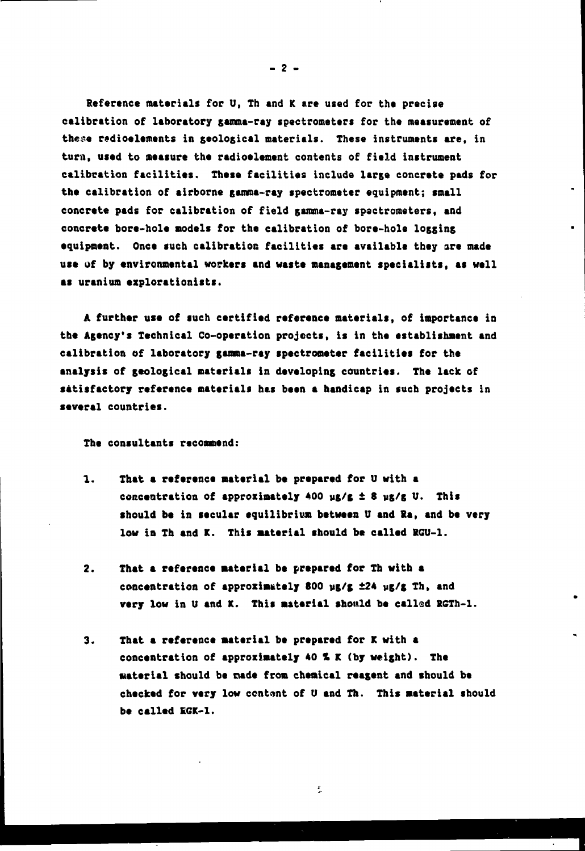**Reference materials for U, Tb and K are used for the precise calibration of laboratory gamma-ray spectrometers for the measurement of these redioelements in geological materials. These instruments are, in turn, used to measure the radioelement contents of field instrument calibration facilities. These facilities include large concrete pads for the calibration of airborne gamma-ray spectrometer equipment; small concrete pads for calibration of field gamma-ray spectrometers, and concrete bore-hole nodels for the calibration of bore-hole logging equipment. Once such calibration facilities are available they are made use of by environmental workers and waste management specialists, as well as uranium explorationists.**

**A further use of such certified reference materials, of importance in the Agency's Technical Co-operation projects, is in the establishment and calibration of laboratory gamma-ray spectrometer facilities for the analysis of geological materials in developing countries. The lack of satisfactory reference materials has been a handicap in such projects in several countries.**

**The consultants recommend:**

- **1. That a reference material be prepared for U with a concentration of approximately 400 yg/g ± 8 yg/g U. This should be in secular equilibrium between U and Sa, and be very** low in Th and K. This material should be called RGU-1.
- **2. That a reference material be prepared for Th with a concentration of approximately 800 wg/g ±24 ug/g Th, and very low in U and K. This material should be called RGTh-1.**
- **3. That a reference material be prepared for K with a concentration of approximately 40 % K (by weight). The Material should be nade from chemical reagent and should be checked for very low centant of U and Th. This material should be called EGK-1.**

Î.

**- 2 -**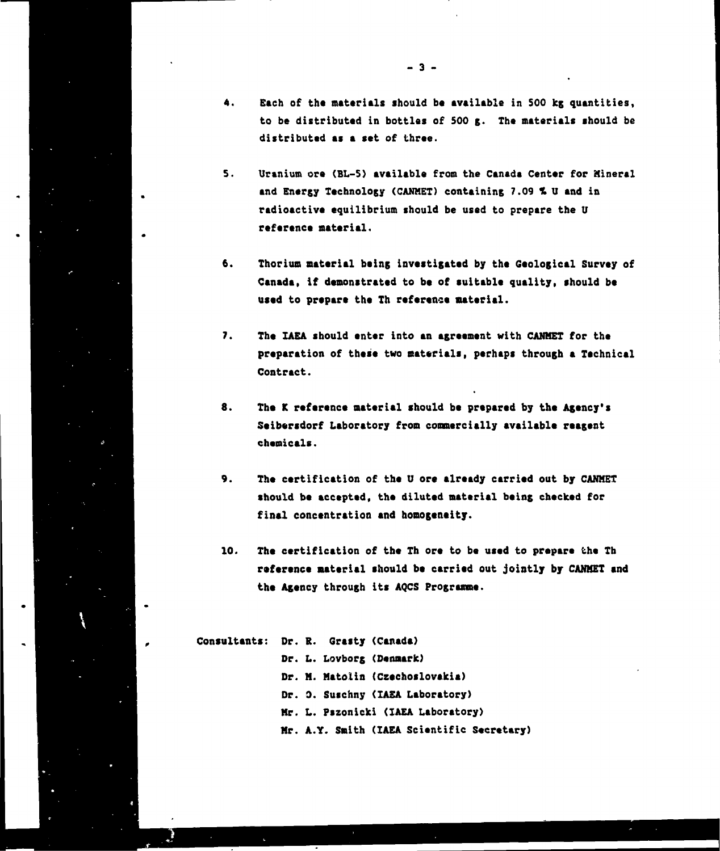- **4. Each of the materials should b« available in S00 kg quantities, to be distributed in bottles of 500 g. The materials should be distributed as a set of three.**
- **5. Uranium ore (BL-S) available from the Canada Center for Mineral** and Energy Technology (CANMET) containing 7.09 % U and in **radioactive equilibrium should be used to prepare the U reference material.**
- **6. Thorium material being investigated by the Geological Survey of Canada, if demonstrated to be of suitable quality, should be used to prepare the Th reference material.**
- **7. The IAEA should enter into an agreement with CANMET for the preparation of these two materials, perhaps through a Technical Contract.**
- **8. The K reference material should be prepared by the Agency's Seibersdorf Laboratory from commercially available reagent chemicals.**
- **9. The certification of the U ore already carried out by CANMET should be accepted, the diluted material being checked for final concentration and homogeneity.**
- **10. The certification of the Th ore to be used to prepare the Th reference material should be carried out jointly by CANMET and the Agency through its AQCS Programme.**
- **Consultants: Dr. R. Grasty (Canada) Or. L. Lovborg (Denmark) Dr. M. Matolin (Czechoslovakia) Dr. 0. Suschny (IAEA Laboratory) Mr. L. Pszonicki (IAEA Laboratory) Mr. A.Y. Smith (IAEA Scientific Secretary)**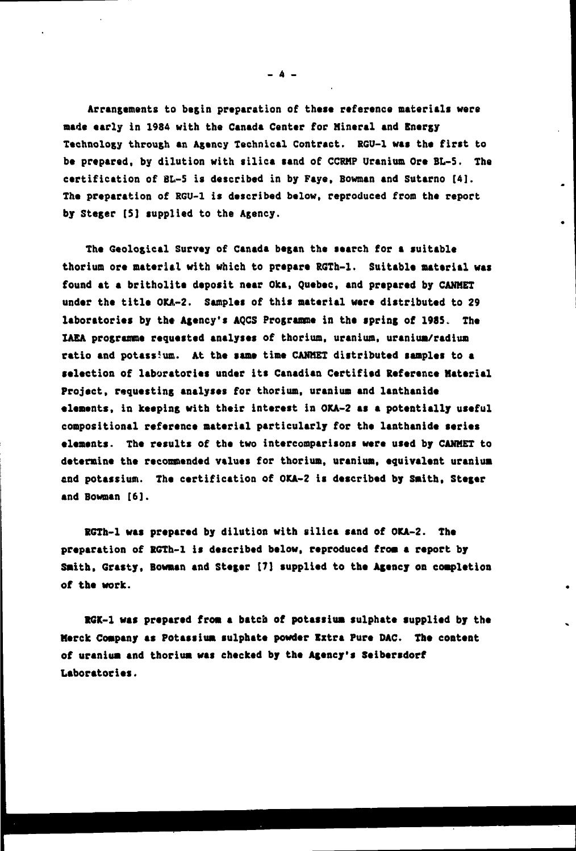**Arrangements to begin preparation of these reference materials were mad\* early in 1984 with the Canada Center for Mineral and Energy Technology through an Agency Technical Contract. RGU-1 was the first to be prepared, by dilution with silica sand of CCRMP Uranium Ore BL-5. The certification of BL-5 is described in by Faye, Bowman and Sutarno [4]. The preparation of RGU-1 is described below, reproduced from the report by Steger [S] supplied to the Agency.**

**The Geological Survey of Canada began the search for a suitable thorium ore material with which to prepare RGTh-1. Suitable material was found at a britholite deposit near Oka, Quebec, and prepared by CANHET** under the title OKA-2. Samples of this material were distributed to 29 **laboratories by the Agency's AQCS Programme in the spring of 1985, The IAEA programme requested analyses of thorium, uranium, uranium/radium ratio and potass5uo. At the same time CANHET distributed samples to a selection of laboratories under its Canadian Certified Reference Material Project, requesting analyses for thorium, uranium and lanthanide elements, in keeping with their interest in OKA-2 as a potentially useful compositional reference material particularly for the lanthanide series elements. The results of the two intercomparisons were used by CAMMET to determine the recommended values for thorium, uranium, equivalent uranium end potassium. The certification of OKA-2 is described by Smith, Steger and Bowman [6].**

**RGTh-1 was prepared by dilution with silica sand of OKA-2. The preparation of RGTh-1 is described below, reproduced frosi a report by Smith. Grasty, Bowman and Steger [7] supplied to the Agency on completion of the work.**

**R6K-1 was prepared from a batcb of potassium sulphate supplied by the Merck Company as Potassium sulphate powder Extra Pure DAC. The content of uranium and thorium was checked by the Agency's Seibersdorf Laboratories.**

**- 4 -**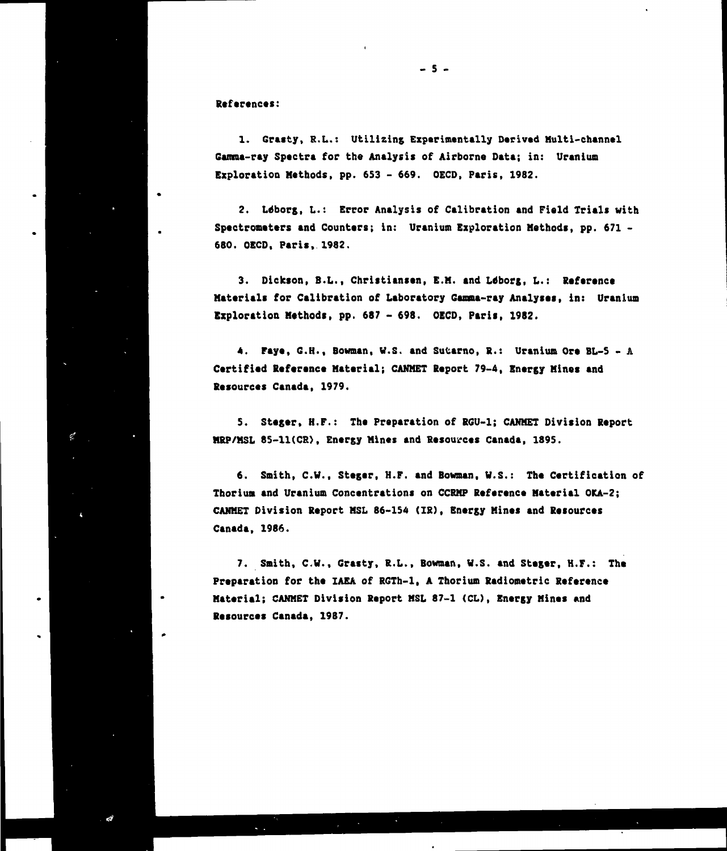**References:**

 $\mathcal{C}^{\prime}$ 

**1. Grasty, R.L.: Utilizing Experimentally Derived Multi-channel Gamma-ray Spectra for the Analysis of Airborne Data; in: Uranium Exploration Methods, pp. 653 - 669. OECD, Paris, 1982.**

**2. Ltfborg, L.: Error Analysis of Calibration and Field Trials with Spectrometers and Counters; in: Uranium Exploration Methods, pp. 671 - 680. OECD, Paris, 1982.**

**3. Dickson, B.L., Christiansen, E.M. and Ldborg, L.: Reference Materials for Calibration of Laboratory Gamma-ray Analyses, in: Uranium Exploration Method!, pp. 687 - 698. OECD, Paris, 1982.**

**4. Paye, G.H., Bowman, W.S. and Sutarno, S.: Uranium Ore BL-S - A Certified Reference Material; CANMET Report 79-4, Energy Mines and Resources Canada, 1979.**

**5. Steger, H.F.: The Preparation of RGU-1; CANMET Division Report MRP/MSL 85-11(CR), Energy Mines and Resources Canada, 1895.** 

**6. Smith, C.W., Steger, H.F. and Bowman, V.S.: The Certification of Thoriua and Uranium Concentrations on CCRMP Reference Material OKA-2; CANMET Division Report MSL 86-154 (IR), Energy Mines and Resources Canada, 1986.**

**7. Smith, C.W., Grasty, R.L., Bowman, V.S. and Steger, H.F.: The Preparation for the IAEA of RGTh-1, A Thorium Radiometric Reference Material; CANMET Division Report MSL 87-1 (CD, Energy Mines and Resources Canada, 1987.**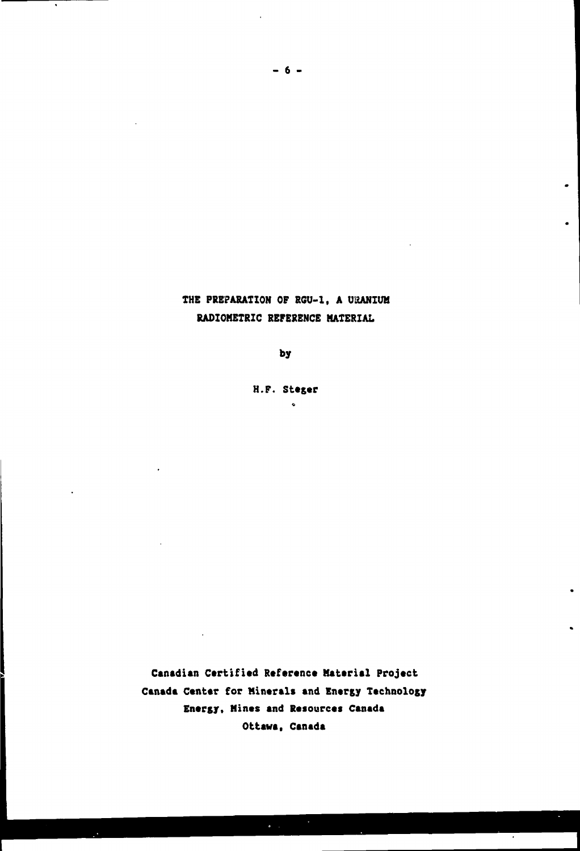## THE PREPARATION OF RGU-1, A URANIUM **RADIOMETRZC REFERENCE MATERIAL**

 $\bullet$ 

**by**

**H.F. Steger**  $\bullet$ 

**Canadian Certified Reference Mattrial Project Canada Center for Minerals and Energy Technology Energy, Mines and Resources Canada Ottawa. Canada**

 $\ddot{\phantom{a}}$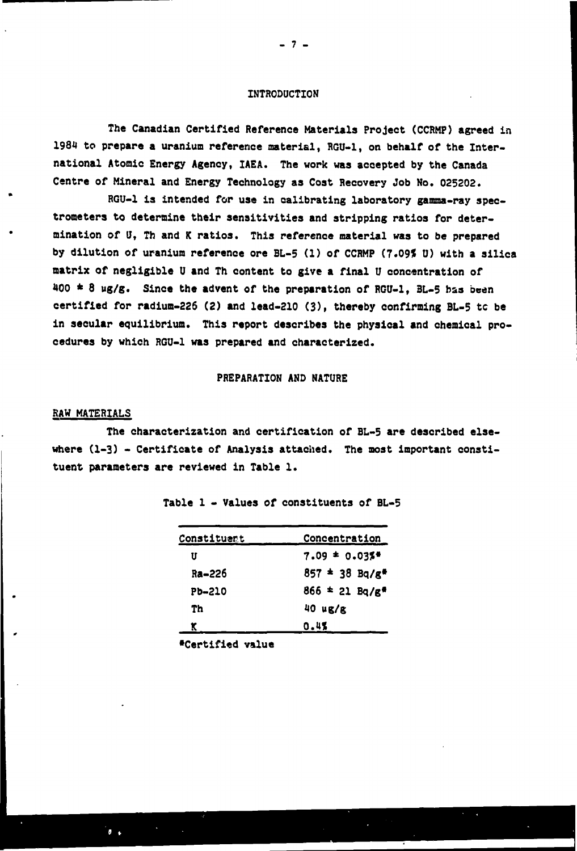#### **INTRODUCTION**

**The Canadian Certified Reference Materials Project (CCRHP) agreed in 1984 to prepare a uranium reference material, RGU-1, on behalf of the International Atomic Energy Agency, IAEA. The work was accepted by the Canada Centre of Mineral and Energy Technology as Cost Recovery Job No. 025202.**

**RGU-1 is intended for use in calibrating laboratory gamma-ray spectrometers to determine their sensitivities and stripping ratios for determination of U, Th and K ratios. This reference material was to be prepared by dilution of uranium reference ore BL-5 (1) of CCRMP (7.09\* U) with a silica matrix of negligible U and Th content to give a final U concentration of 400 \* 8 ug/g. Since the advent of the preparation of RGU-1, 3L-5 has been certified for radium-226 (2) and lead-210 (3), thereby confirming BL-5 tc be in secular equilibrium. This report describes the physical and chemical procedures by which RGU-1 was prepared and characterized.**

#### **PREPARATION AND NATURE**

#### **RAW MATERIALS**

 $\bullet$ 

**The characterization and certification of BL-5 are described else**where  $(1-3)$  - Certificate of Analysis attached. The most important consti**tuent parameters are reviewed in Table 1.**

| Constituent   | <b>Concentration</b>         |  |
|---------------|------------------------------|--|
| U             | $7.09 = 0.035$               |  |
| Ra-226        | $857 = 38$ Bq/g <sup>*</sup> |  |
| <b>Pb-210</b> | $866 * 21$ Bq/g*             |  |
| Th            | $40 \mu g/g$                 |  |
| K             | 0.4%                         |  |

**Table 1 - Values of constituents of BL-5**

**•Certified value**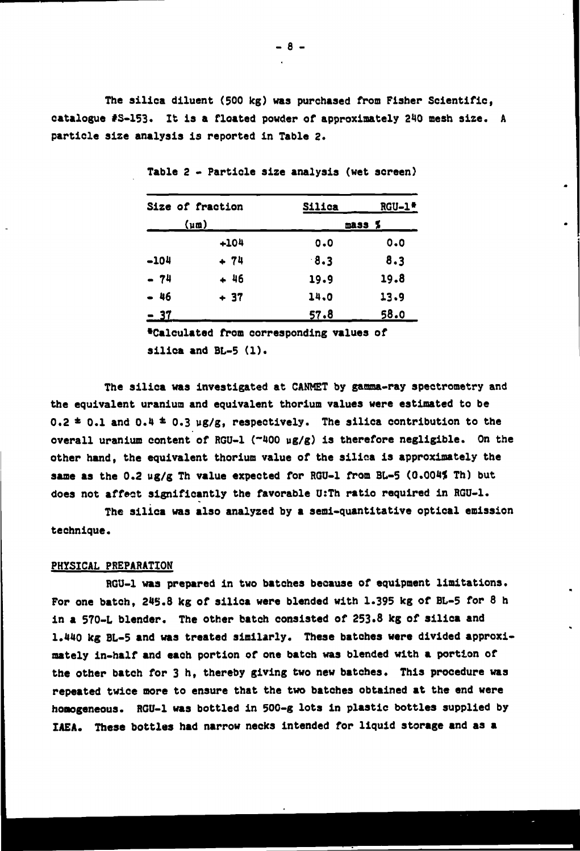**The silica diluent (500 kg) was purchased from Fisher Scientific, catalogue #S-153. It is a floated powder of approximately 240 mesh size. A particle size analysis is reported in Table 2.**

|        | Size of fraction     | Silica | $RGU-1$ <sup>*</sup> |
|--------|----------------------|--------|----------------------|
|        | $(\mu \mathfrak{m})$ |        | mass %               |
|        | $+104$               | 0.0    | 0.0                  |
| $-104$ | $+ 74$               | 8.3    | 8.3                  |
| $-74$  | $+46$                | 19.9   | 19.8                 |
| - 46   | $+37$                | 14.0   | 13.9                 |
| - 37   |                      | 57.8   | 58.0                 |

**Table 2 - Particle size analysis (wet screen)**

**•Calculated from corresponding values of**

**silica and BL-5 (1).**

**The silica was investigated at CANMET by gamma-ray spectrometry and the equivalent uranium and equivalent thorium values were estimated to be**  $0.2 \pm 0.1$  and  $0.4 \pm 0.3$  ug/g, respectively. The silica contribution to the **overall uranium content of RGU-1 ("400 ug/g) is therefore negligible. On the other hand, the equivalent thorium value of the silica is approximately the same as the 0.2 ug/g Th value expected for RGU-1 from BL-5 (0.004% Th) but does not affect significantly the favorable U:Th ratio required in RGU-1.**

**The silica was also analyzed by a semi-quantitative optical emission technique.**

#### **PHYSICAL PREPARATION**

**RGU-1 was prepared in two batches because of equipment limitations. For one batch, 245.8 kg of silica were blended with 1.395 kg of BL-5 for 8 h in a 570-L blender. The other batch consisted of 253.8 kg of silica and 1.440 kg BL-5 and was treated similarly. These batches were divided approximately in-half and each portion of one batch was blended with a portion of the other batch for 3 h, thereby giving two new batches. This procedure was repeated twice more to ensure that the two batches obtained at the end were homogeneous. RGU-1 was bottled in 500-g lots in plastic bottles supplied by IAEA. These bottles had narrow necks intended for liquid storage and as a**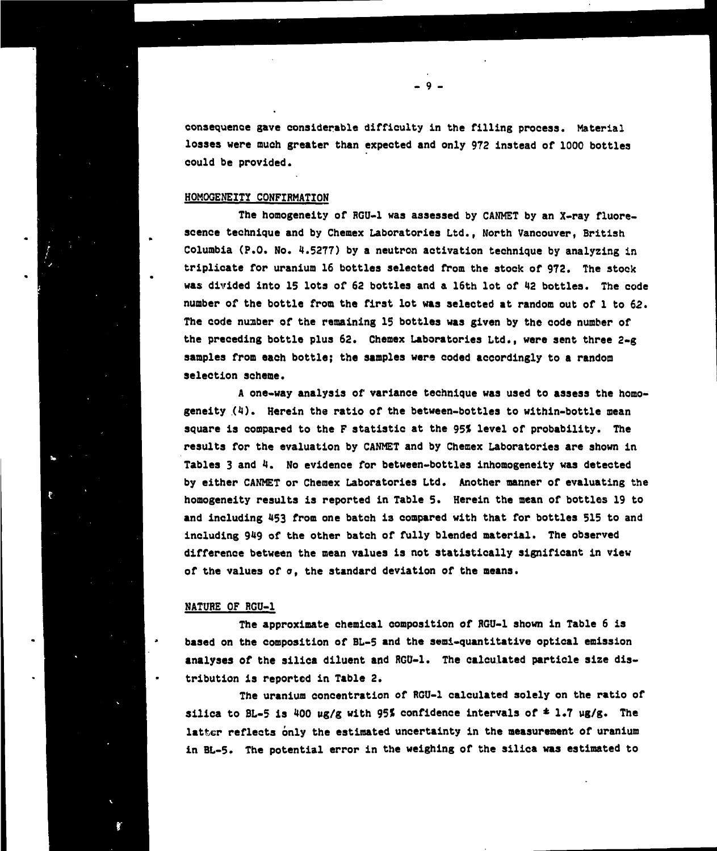**consequence gave considerable difficulty in the filling process. Material losses were much greater than expected and only 972 instead of 1000 bottles could be provided.**

**- 9 -**

#### **HOMOGENEITY CONFIRMATION**

**The homogeneity of RGU-1 was assessed by CANMET by an X-ray fluorescence technique and by Chemex Laboratories Ltd., North Vancouver, British Columbia (P.O. No. 4.5277) by a neutron activation technique by analyzing in triplicate for uranium 16 bottles selected from the stock of 972. The stock was divided into 15 lots of 62 bottles and a 16th lot of 42 bottles. The code number of the bottle from the first lot was selected at random out of 1 to 62. The code nuaber of the remaining 15 bottles was given by the code number of the preceding bottle plus 62. Chemex Laboratories Ltd., were sent three 2-g samples from each bottle; the samples were coded accordingly to a random selection scheme.**

**A one-way analysis of variance technique was used to assess the homogeneity (4). Herein the ratio of the between-bottles to within-bottle mean square is compared to the F statistic at the 95J level of probability. The results for the evaluation by CANMET and by Chemex Laboratories are shown in Tables 3 and 4. No evidence for between-bottles inhomogeneity was detected by either CANMET or Chemex Laboratories Ltd. Another manner of evaluating the homogeneity results is reported in Table 5. Herein the mean of bottles 19 to and including 453 from one batch is compared with that for bottles 515 to and including 949 of the other batch of fully blended material. The observed difference between the mean values is not statistically significant in view of the values of a, the standard deviation of the means.**

#### **NATURE OF RGU-1**

**The approximate chemical composition of RGU-1 shown in Table 6 is based on the composition of BL-5 and the semi-quantitative optical emission analyses of the silica diluent and RGU-1. The calculated particle size distribution is reported in Table 2.**

**The uranium concentration of RGU-1 calculated solely on the ratio of silica to BL-5 is 400 ug/g with 95t confidence intervals of \* 1.7 ug/g. The latter reflects only the estimated uncertainty in the measurement of uranium in BL-5. The potential error in the weighing of the silica was estimated to**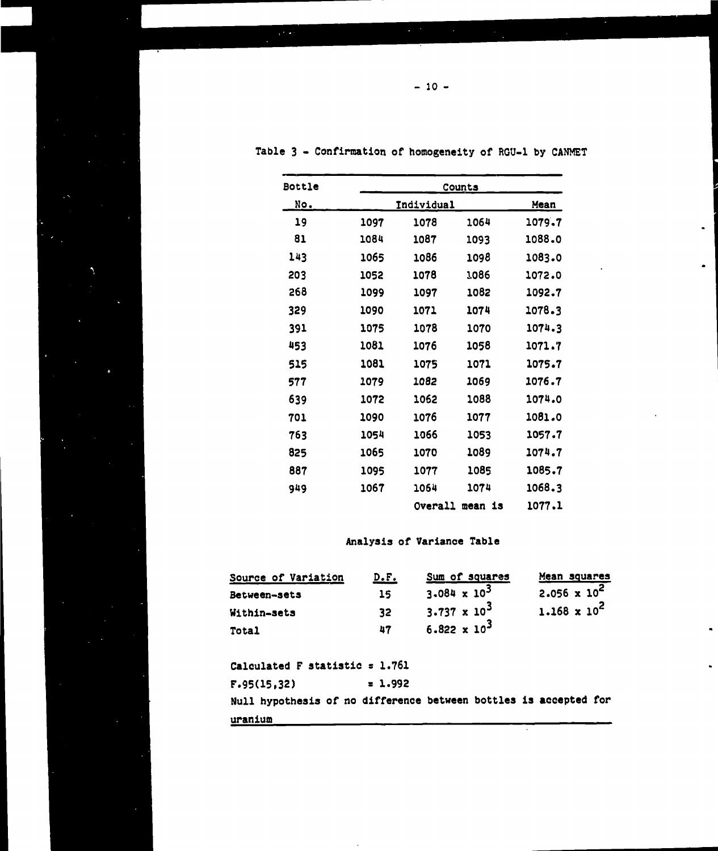| <b>Bottle</b> |      |                   | Counts  |        |
|---------------|------|-------------------|---------|--------|
| <u>No.</u>    |      | <b>Individual</b> |         |        |
| 19            | 1097 | 1078              | 1064    | 1079.7 |
| 81            | 1084 | 1087              | 1093    | 1088.0 |
| 143           | 1065 | 1086              | 1098    | 1083.0 |
| 203           | 1052 | 1078              | 1086    | 1072.0 |
| 268           | 1099 | 1097              | 1082    | 1092.7 |
| 329           | 1090 | 1071              | 1074    | 1078.3 |
| 391           | 1075 | 1078              | 1070    | 1074.3 |
| 453           | 1081 | 1076              | 1058    | 1071.7 |
| 515           | 1081 | 1075              | 1071    | 1075.7 |
| 577           | 1079 | 1082              | 1069    | 1076.7 |
| 639           | 1072 | 1062              | 1088    | 1074.0 |
| 701           | 1090 | 1076              | 1077    | 1081.0 |
| 763           | 1054 | 1066              | 1053    | 1057.7 |
| 825           | 1065 | 1070              | 1089    | 1074.7 |
| 887           | 1095 | 1077              | 1085    | 1085.7 |
| 949           | 1067 | 1064              | 1074    | 1068.3 |
|               |      | Overall           | mean is | 1077.1 |

 $\bullet$ 

Table 3 - Confirmation of homogeneity of RGU-1 by CANMET

### **Analysis of Variance Table**

| Source of Variation | <u>D.F.</u> | Sum of squares                 | Mean squares          |
|---------------------|-------------|--------------------------------|-----------------------|
| Between-sets        | 15          | 3.084 x $10^3$                 | $2.056 \times 10^2$   |
| Within-sets         | 32          | 3.737 $\times$ 10 <sup>3</sup> | $1.168 \times 10^{2}$ |
| <b>Total</b>        | 47          | $6.822 \times 10^{3}$          |                       |

Calculated F statistic  $= 1.761$ 

 $F.95(15,32) = 1.992$ 

 $\ddot{\phantom{a}}$ 

Null hypothesis of no difference between bottles **is accepted** for uranium

 $- 10 -$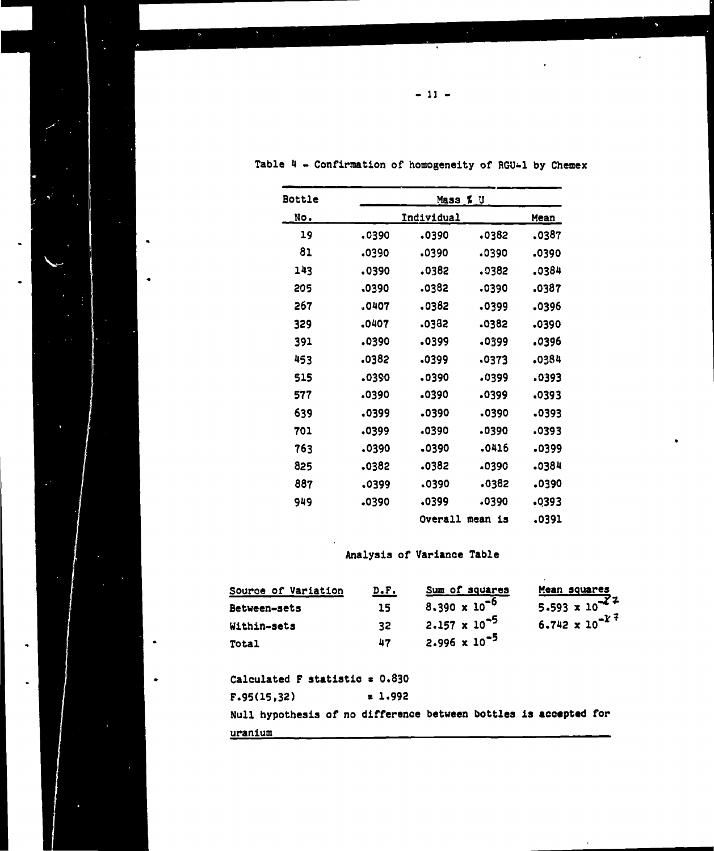| <b>Bottle</b> |       | Mass % U   |            |       |
|---------------|-------|------------|------------|-------|
| No.           |       | Individual |            | Mean  |
| 19            | 0390، | .0390      | 0382ء      | .0387 |
| 81            | .0390 | .0390      | .0390      | 0390، |
| 143           | .0390 | 0382ء      | .0382      | .0384 |
| 205           | 0390، | 0382ء      | .0390      | 0387ء |
| 267           | .0407 | 0382ء      | 0399ء      | 0396ء |
| 329           | .0407 | .0382      | .0382      | .0390 |
| 391           | .0390 | 0399ء      | 0399ء      | 0396ء |
| 453           | 0382ء | 0399ء      | .0373      | .0384 |
| 515           | .0390 | .0390      | .0399      | 0393ء |
| 577           | .0390 | 0390ء      | .0399      | .0393 |
| 639           | 0399ء | 0390ء      | .0390      | 0393ء |
| 701           | 0399ء | 0390ء      | 0390ء      | 0393. |
| 763           | .0390 | 0390ء      | .0416      | .0399 |
| 825           | .0382 | 0382ء      | -0390      | .0384 |
| 887           | .0399 | 0390ء      | 0382ء      | 0390ء |
| 949           | 0390ء | 0399ء      | 0390ء      | .0393 |
|               |       | Overall    | is<br>mean | 0391. |

Table 4 - Confirmation of homogeneity of RGU-1 by Chemex

 $\bullet$ 

 $\bullet$ 

## Analysis of Variance Table

| Source of Variation | D.F. | Sum of squares         | Mean squares            |
|---------------------|------|------------------------|-------------------------|
| <b>Between-sets</b> | 15   | $8.390 \times 10^{-6}$ | $5.593 \times 10^{-27}$ |
| Within-sets         | 32   | 2.157 x $10^{-5}$      | $6.742 \times 10^{-27}$ |
| Total               | 47   | 2.996 x $10^{-5}$      |                         |

Calculated F statistic  $x = 0.830$  $F.95(15,32)$   $\qquad \qquad \bullet$  1.992 Null hypothesis of no difference between bottles is **accepted** for uranium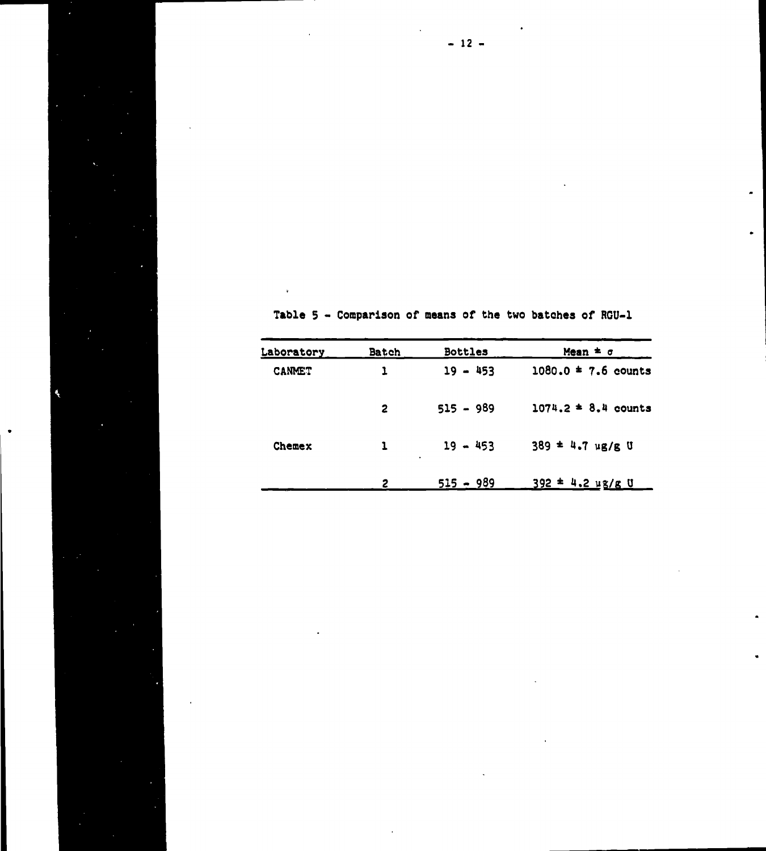| Laboratory    | <b>Batch</b> | <b>Bottles</b>  | Mean $\pm$ $\sigma$        |
|---------------|--------------|-----------------|----------------------------|
| <b>CANMET</b> |              | $19 - 453$      | $1080.0 = 7.6$ counts      |
|               | $\mathbf{2}$ | $515 - 989$     | $1074.2 = 8.4$ counts      |
| <b>Chemex</b> | $\mathbf{1}$ | $19 - 453$<br>٠ | $389 = 4.7 \text{ ug/g U}$ |
|               | 2            | $515 - 989$     | $392 - 4.2$ ug/g U         |

Á,

Table 5 - Comparison of means of the two batches of RGU-1

 $\blacksquare$ 

 $-12 -$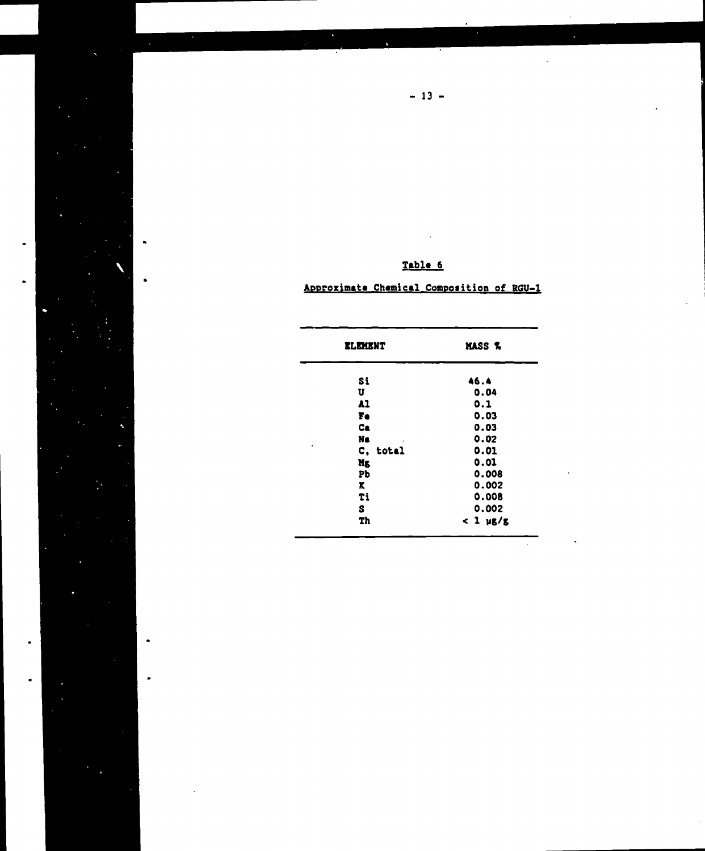| <b>ELEMENT</b> | MASS %          |
|----------------|-----------------|
| Si             | 46.4            |
| U              | 0.04            |
| A1             | 0.1             |
| Fe             | 0.03            |
| Ca             | 0.03            |
| Na.            | 0.02            |
| C, total       | 0.01            |
| Mg             | 0.01            |
| Pb             | 0.008           |
| x.             | 0.002           |
| Ti             | 0.008           |
| S              | 0.002           |
| <b>Th</b>      | $<$ 1 $\mu$ g/g |

|  |  | Approximate Chemical Composition of RGU-1 |  |  |  |
|--|--|-------------------------------------------|--|--|--|

Table 6

 $\ddot{\phantom{0}}$ 

 $\ddot{\phantom{a}}$ 

 $-13 -$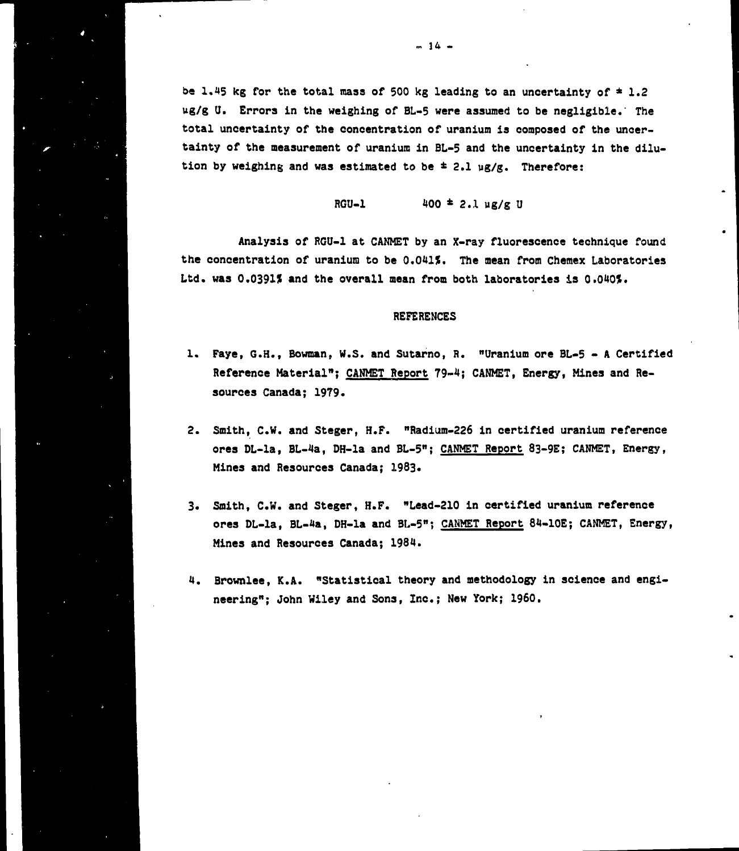**be 1.45 kg for the total mass of 500 kg leading to an uncertainty of \* 1.2 ug/g U. Errors in the weighing of BL-5 were assumed to be negligible.' The total uncertainty of the concentration of uranium is composed of the uncertainty of the measurement of uranium in BL-5 and the uncertainty in the dilution by weighing and was estimated to be ± 2.1 ug/g. Therefore:**

**RGU-1 100 \* 2.1 ug/g U**

**Analysis of RGU-1 at CANMET by an X-ray fluorescence technique found** the concentration of uranium to be 0.041%. The mean from Chemex Laboratories Ltd. was 0.0391% and the overall mean from both laboratories is 0.040%.

#### **REFERENCES**

- **1. Faye, G.H., Bowman, W.S. and Sutarno, R. "Uranium ore BL-5 A Certified Reference Material"; CANMET Report 79-4; CANMET, Energy, Mines and Resources Canada; 1979.**
- **2. Smith, C.W. and Steger, H.F. "Radium-226 in certified uranium reference ores DL-la, BL-4a, DH-la and BL-5"; CANMET Report 83-9E; CANMET, Energy, Mines and Resources Canada; 1983\***
- **3. Smith, C.W. and Steger, H.F. "Lead-210 in certified uranium reference ores DL-la, BL-4a, DH-la and BL-5"; CAMMET Report 84-10E; CANMET, Energy, Mines and Resources Canada; 1984.**
- **4. Brownlee, K.A. "Statistical theory and methodology in science and engineering"; John Wiley and Sons, Inc.; New York; I960.**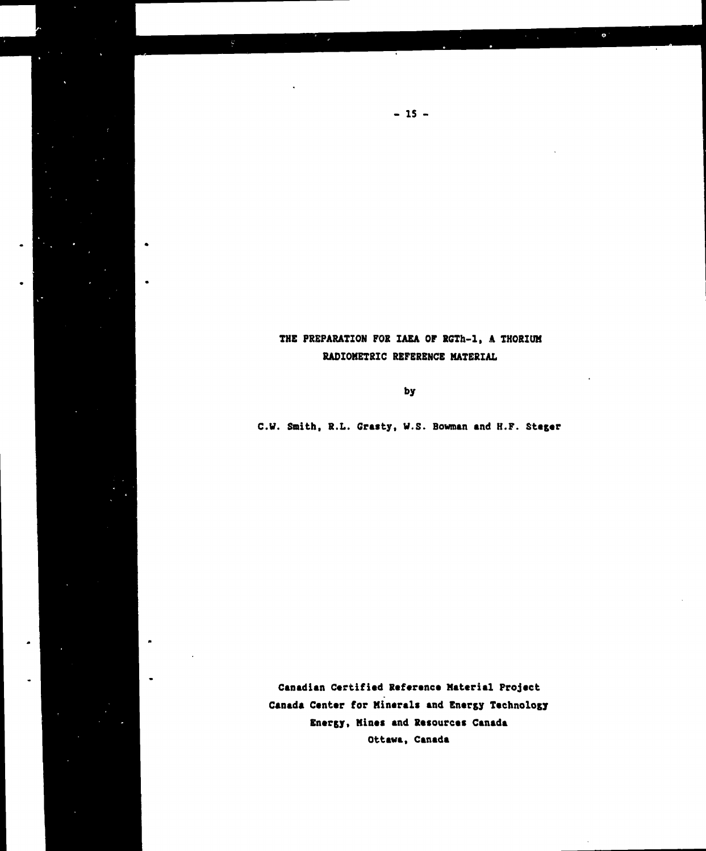## **THE PREPARATION FOR IAEA OP RGTh-1, A THORIUM RADIOMETRIC REFERENCE MATERIAL**

 $\bullet$ 

 $\bullet$ 

**- IS -**

 $\bullet$ 

**by**

**C.V. Smith, R.L. Grasty, W.S. Bowman and H.F. Stager**

**Canadian Certified Reference Material Projact Canada Center for Minerals and Energy Technology Energy, Mines and Resources Canada Ottawa, Canada**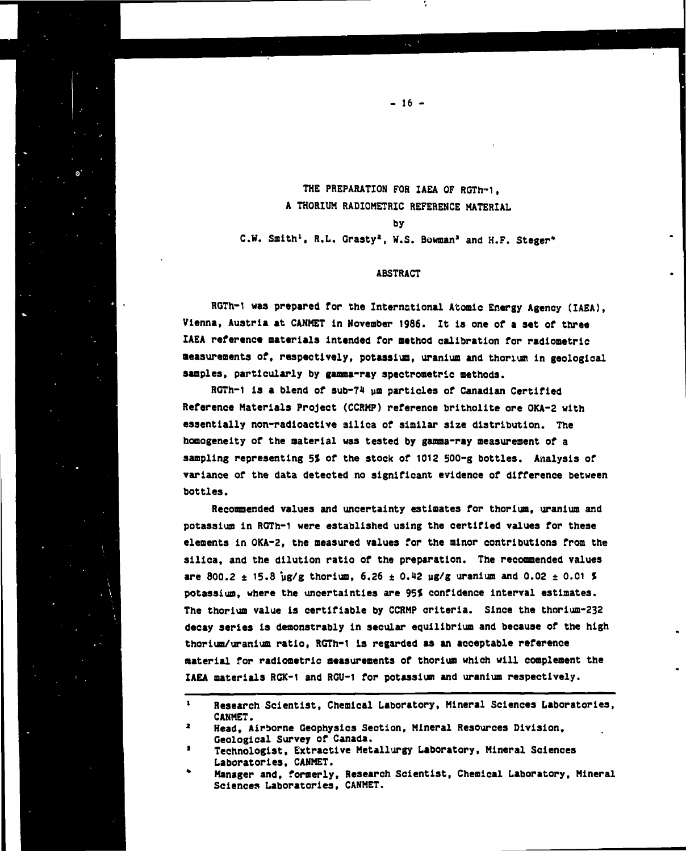**THE PREPARATION FOR IAEA OF RGTh-1, A THORIUM RADIOMETRIC REFERENCE MATERIAL by C.W. Smith<sup>1</sup>, R.L. Graaty<sup>1</sup>, W.S. Bowman\* and H.F. Steger\***

**- 16 -**

#### **ABSTRACT**

**RGTh-1 was prepared for the International A'coaic Energy Agency (IAEA), Vienna, Austria at CANMET in November 1986. It is one of a set of three IAEA reference materials intended for method calibration for radiometric measurements of, respectively, potassium, uranium and thorium in geological** samples, particularly by gamma-ray spectrometric methods.

**RGTh-1 is a blend of sub-74 um particles of Canadian Certified Reference Materials Project (CCRMP) reference brltholite ore OKA-2 with essentially non-radioactive silica of similar size distribution. The homogeneity of the material was tested by gamma-ray measurement of a sampling representing 5% of the stock of 1012 SOO-g bottles. Analysis of variance of the data detected no significant evidence of difference between bottles.**

**Recommended values and uncertainty estimates for thorium, uranium and potassium in RGTh-1 were established using the certified values for these elements in OKA-2, the measured values for the minor contributions from the silica, and the dilution ratio of the preparation. The recommended values** are 800.2  $\pm$  15.8  $\mu$ g/g thorium, 6.26  $\pm$  0.42  $\mu$ g/g uranium and 0.02  $\pm$  0.01 **\$ potassium, where the uncertainties are 95< confidence interval estimates. The thorium value is certifiable by CCRMP criteria. Since the thorium-232 decay series is demonstrably in secular equilibrium and because of the high thorium/uranium ratio, RGTh-1 is regarded as an acceptable reference material for radiometric measurements of thorium which will complement the IAEA materials RGK-1 and RCU-1 for potassium and uranium respectively.**

**<sup>1</sup> Research Scientist, Chemical Laboratory, Mineral Sciences Laboratories, CANMET.**

**<sup>\*</sup> Head, Airborne Geophysics Section, Mineral Resources Division, Geological Survey of Canada.**

**<sup>\*</sup> Technologist, Extractive Metallurgy Laboratory, Mineral Sciences Laboratories, CANMET.**

**<sup>\*</sup> Manager and, formerly. Research Scientist, Chemical Laboratory, Mineral Sciences Laboratories, CANMET.**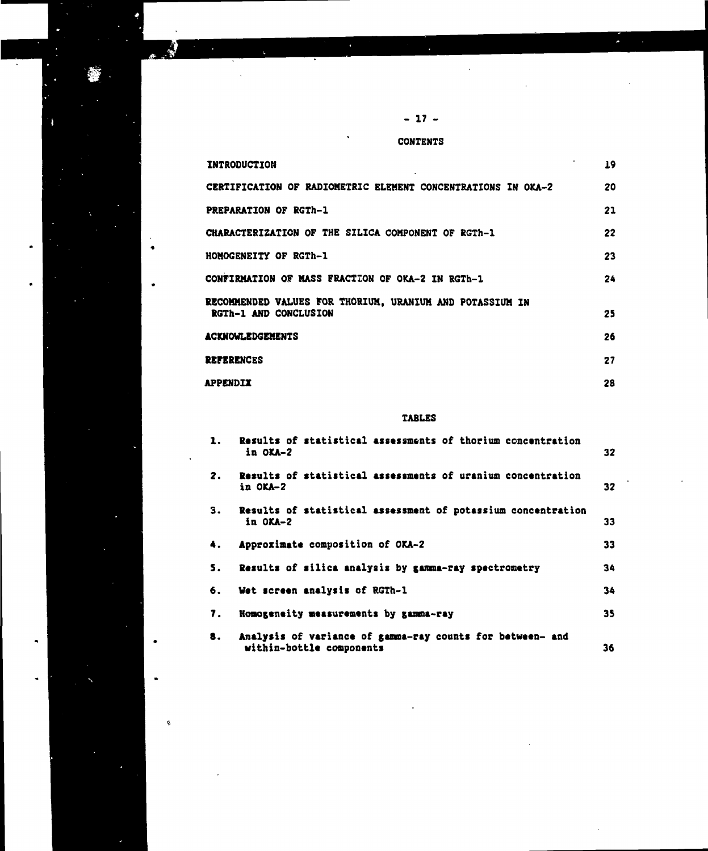**- 17 -**

Į.

 $\ddagger$ 

Ġ

**CONTENTS**

| INTRODUCTION                                                                             | 19. |
|------------------------------------------------------------------------------------------|-----|
| CERTIFICATION OF RADIOMETRIC ELEMENT CONCENTRATIONS IN OKA-2                             | 20  |
| <b>PREPARATION OF RGTh-1</b>                                                             | 21  |
| CHARACTERIZATION OF THE SILICA COMPONENT OF RGTh-1                                       | 22  |
| <b>HOMOGENEITY OF RGTh-1</b>                                                             | 23  |
| CONFIRMATION OF MASS FRACTION OF OKA-2 IN RGTh-1                                         | 24  |
| RECOMMENDED VALUES FOR THORIUM. URANIUM AND POTASSIUM IN<br><b>RGTh-1 AND CONCLUSION</b> | 25  |
| <b>ACKNOWLEDGEMENTS</b>                                                                  | 26  |
| <b>REFERENCES</b>                                                                        | 27  |
| <b>APPENDIX</b>                                                                          | 28  |

## **TABLES**

| 1. | Results of statistical assessments of thorium concentration<br>in OKA-2               | 32 |
|----|---------------------------------------------------------------------------------------|----|
| 2. | Results of statistical assessments of uranium concentration<br>in OKA-2               | 32 |
| З. | Results of statistical assessment of potassium concentration<br>in $OKA-2$            | 33 |
| 4. | Approximate composition of OKA-2                                                      | 33 |
| S. | Results of silica analysis by gamma-ray spectrometry                                  | 34 |
| 6. | Wet screen analysis of RGTh-1                                                         | 34 |
| 7. | Homogeneity measurements by gamma-ray                                                 | 35 |
| 8. | Analysis of variance of gamma-ray counts for between- and<br>within-bottle components | 36 |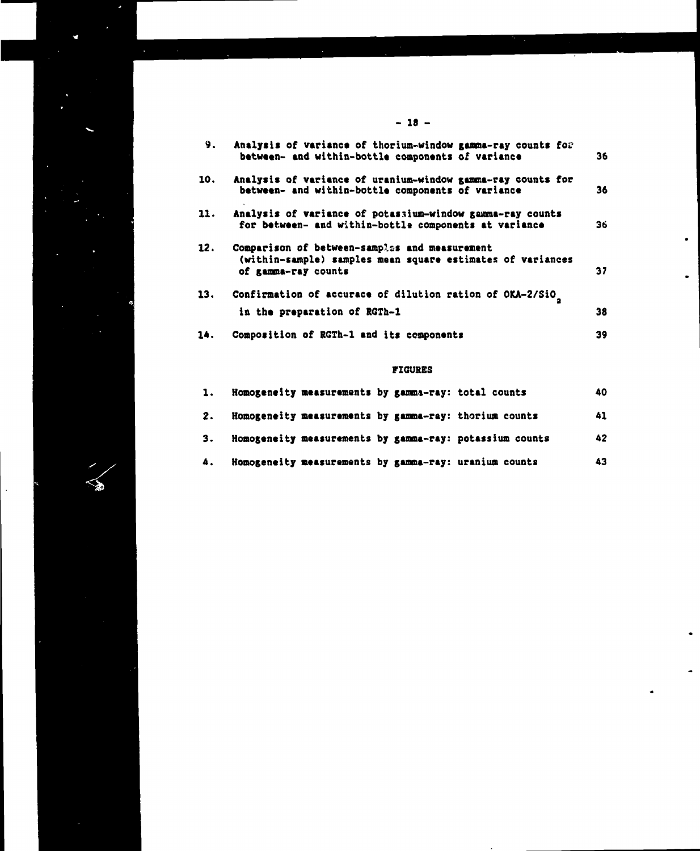**9. Analysis of variance of thorium-window gamma-ray counts fo? between- and within-bottle components of variance** 10. Analysis of variance of uranium-window gamma-ray counts for **between- and within-bottle components of variance 11. Analysis of variance of potassium-window gamma-ray counts** for between- and within-bottle components at variance 12. Comparison of between-samples and measurement **(within-sample) samples mean square estimates of variances of gamma-ray counts 13. Confirmation of accurace of dilution ration of OKA-2/SiO 36 36 36 37 38**

 $\bullet$ 

 $\bullet$ 

**14. in the preparation of RGTh-1 Composition of RGTh-1 and its components 39**

#### **FIGURES**

| 3.<br>4. |                                                     |  | Homogeneity measurements by gamma-ray: potassium counts<br>Homogeneity measurements by gamma-ray: uranium counts | 43  |
|----------|-----------------------------------------------------|--|------------------------------------------------------------------------------------------------------------------|-----|
|          |                                                     |  |                                                                                                                  | 42  |
| 2.       |                                                     |  | Homogeneity measurements by gamma-ray: thorium counts                                                            | 41  |
| 1.       | Homogeneity measurements by gamma-ray: total counts |  |                                                                                                                  | 40. |

#### **- 18 -**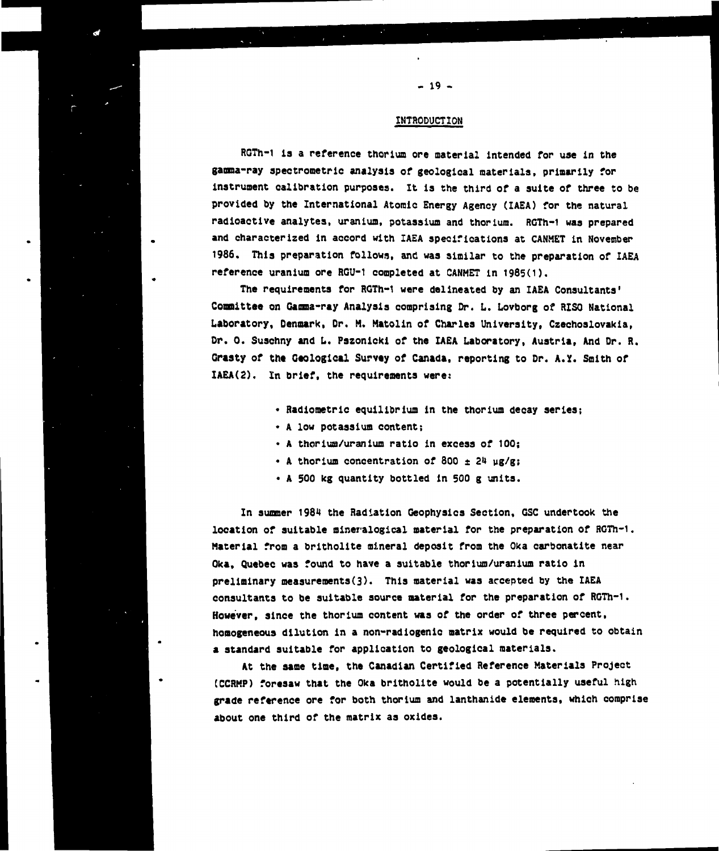## **INTRODUCTION**

**RGTh-1 is a reference thorium ore material intended for use in the ganma-ray spectronetric analysis of geological materials, primarily for instrument calibration purposes. It is the third of a suite of three to be provided by the International Atomic Energy Agency (IAEA) for the natural radioactive analytes, uranium, potassium and thorium. RGTh-1 was prepared and characterized in accord with IAEA specifications at CANMET in November 1986. This preparation follows, and was similar to the preparation of IAEA reference uranium ore RGU-1 completed at CANMET in 1985(1).**

**The requirements for RGTh-1 were delineated by an IAEA Consultants' Committee on Gamma-ray Analysis comprising Or. L. Lovborg of RISC- National Laboratory, Denmark, Dr. M. Matolin of Charles University, Czechoslovakia, Dr. 0. Suschny and L. Pszonlcki of the IAEA Laboratory, Austria, And Dr. R.** Grasty of the Geological Survey of Canada, reporting to Dr. A.Y. Smith of **IAEA(2). In brief, the requirements were:**

- **Radiometric equilibrium in the thorium decay series;**
- **A low potassium content;**
- **A thorium/uranium ratio in excess of 100;**
- **A thorium concentration of 800 ± 24 ug/g;**
- **A 500 kg quantity bottled in 500 g units.**

**In summer 1984 the Radiation Geophysics Section, GSC undertook the location of suitable mineralogical material for the preparation of RGTh-1. Material from a britholite mineral deposit from the Oka carbonatite near Oka, Quebec was found to have a suitable thorium/uranium ratio in preliminary measurements^). This material was accepted by the IAEA consultants to be suitable source material for the preparation of RGTh-1. However, since the thorium content was of the order of three percent, homogeneous dilution in a non-radiogenic matrix would be required to obtain a standard suitable for application to geological materials.**

**At the same time, the Canadian Certified Reference Materials Project (CCRKP) foresaw that the Oka britholite would be a potentially useful high grade reference ore for both thorium and lanthanide elements, which comprise about one third of the matrix as oxides.**

**- 19 -**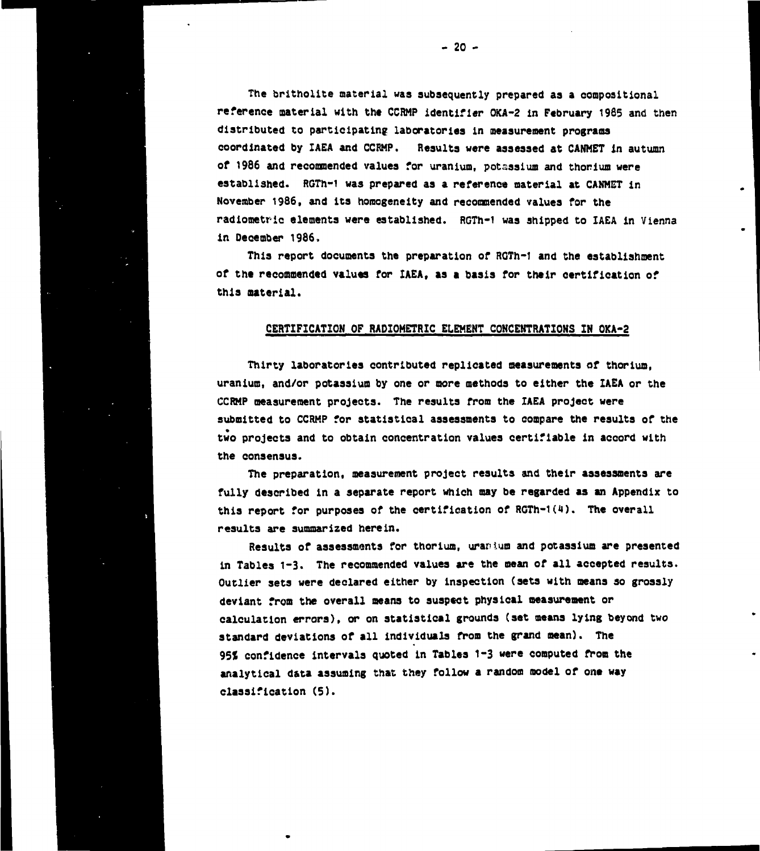**The britholite material was subsequently prepared as a compositional reference material with the CCRMP identifier OKA-2 in February 1985 and then distributed to participating laboratories in measurement programs coordinated by IAEA and CCRMP. Results were assessed at CANHET In autumn of 1986 and recommended values for uranium, potassium and thorium were established. RGTh-1 was prepared as a reference material at CANMET in November 1986, and its homogeneity and recommended values for the radiometric elements were established. RGTh-1 was shipped to IAEA in Vienna in December 1986,**

**This report documents the preparation of RGTh-1 and the establishment of the recommended values for IAEA, as a basis for their certification of this material.**

### **CERTIFICATION OF RADIOHETRIC ELEMENT CONCENTRATIONS IN OKA-2**

**Thirty laboratories contributed replicated measurements of thorium, uranium, and/or potassium by one or more methods to either the IAEA or the CCRMP measurement projects. The results from the IAEA project were submitted to CCRMP for statistical assessments to compare the results of the two projects and to obtain concentration values certifiable in accord with the consensus.**

**The preparation, measurement project results and their assessments are fully described in a separate report which may be regarded as an Appendix to this report for purposes of the certification of RGTh-1 (\*»). The overall results are summarized herein.**

**Results of assessments for thorium, uranium and potassium are presented in Tables 1-3. The recommended values are the mean of all accepted results. Outlier sets were declared either by inspection (sets with means so grossly deviant from the overall means to suspect physical measurement or calculation errors), or on statistical grounds (set means lying beyond two standard deviations of all individuals from the grand mean). The 95S confidence intervals quoted in Tables 1-3 were computed from the analytical data assuming that they follow a random model of one way classification (5).**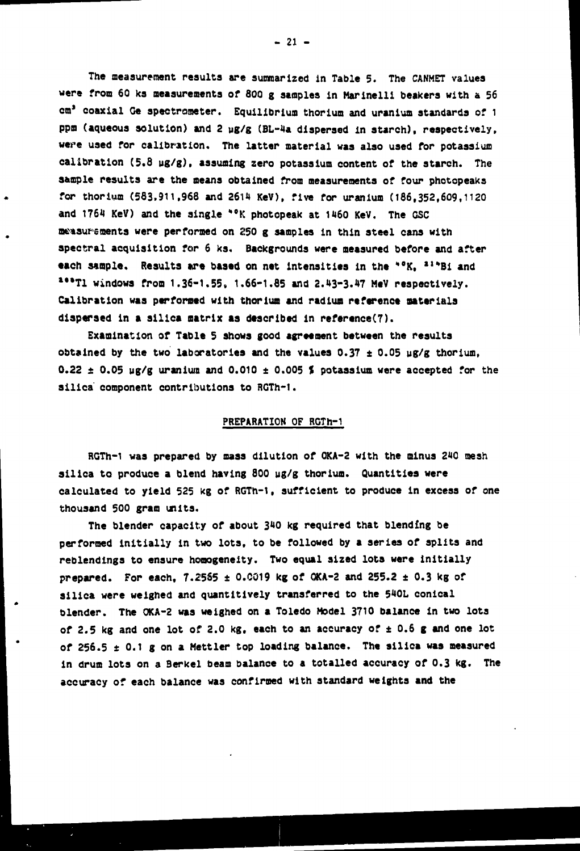**The measurement results are summarized in Table 5. The CANMET values were from 60 ka measurements of 800 g staples in Marinelli beakers with a 56 cm\* coaxial Ge spectrometer. Equilibrium thorium and uranium standards of 1 ppm (aqueous solution) and 2 yg/g (BL-4a dispersed In starch), respectively, were used for calibration. The latter material was also used for potassium calibration (5.8 ug/g). assuming zero potassium content of the starch. The sample results are the means obtained from measurements of four photopeaks** for thorium (583,911,968 and 2614 KeV), five for uranium (186,352,609,1120 and 1764 KeV) and the single \*°K photopeak at 1460 KeV. The GSC **measurements were performed on 250 g samples in thin steel cans with spectral acquisition for 6 ks. Backgrounds were measured before and after each sample. Results are based on net intensities in the \*°K, <sup>21\*</sup>Bi and \*"T1 windows from 1.36-1.55, 1.66-1.85 and 2.03-3.47 MeV respectively. Calibration was performed with thorium and radium reference materials dispersed in a silica matrix as described in referenced).**

**Examination of Table 5 shows good agreement between the results obtained by the two laboratories and the values 0.37 ± 0.05 ug/g thorium, 0.22 + 0.05 ug/g uranium and 0.010 ± 0.005 % potassium were accepted for the silica component contributions to RGTh-1.**

#### **PREPARATION OF RGTh-1**

**RGTh-1 was prepared by mass dilution of OKA-2 with the minus 240 mesh silica to produce a blend having 800 ug/g thorium. Quantities were calculated to yield 525 kg of RGTh-1, sufficient to produce in excess of one thousand 500 gram units.**

**The blender capacity of about 340 kg required that blending be performed initially in two lots, to be followed by a series of splits and reblendings to ensure homogeneity. Two equal sized lots were initially prepared. For each, 7.25S5 ± 0.C019 kg of OKA-2 and 255.2 ± 0.3 kg of silica were weighed and quantltlvely transferred to the 540L conical blender. The 0KA-2 was weighed on a Toledo Model 3710 balance in two lots of 2.5 kg and one lot of 2.0 kg, each to an accuracy of ± 0.6 g and one lot of 256.5 ±0.1 g on a Mettler top loading balance. The silica was measured in drum lots on a Berkel beam balance to a totalled accuracy of 0.3 kg. The accuracy of each balance was confirmed with standard weights and the**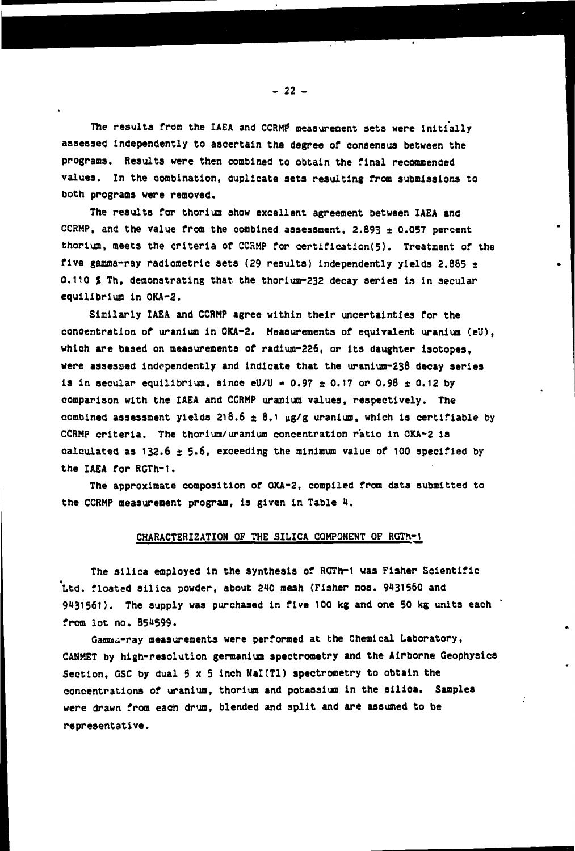The results from the IAEA and CCRMP measurement sets were initially **assessed independently to ascertain the degree of consensus between the programs. Results were then combined to obtain the final recommended values. In the combination, duplicate sets resulting from submissions to both programs were removed.**

**The results for thorium show excellent agreement between IAEA and** CCRMP, and the value from the combined assessment,  $2.893 \pm 0.057$  percent **thorium, meets the criteria of CCRMP for certification(5). Treatment of the five gamma-ray radiometric sets (29 results) independently yields 2.885 ± 0.110 I Th, demonstrating that the thorium-232 decay series is in secular equilibrium in OKA-2.**

**Similarly IAEA and CCRMP agree within their uncertainties for the concentration of uranium in OKA-2. Measurements of equivalent uranium (eU), which are based on measurements of radium-226, or Its daughter isotopes, were assessed independently and indicate that the uraniun-238 decay series is in secular equilibrium, since**  $eU/U = 0.97 \pm 0.17$  **or 0.98**  $\pm$  **0.12 by comparison with the IAEA and CCRMP uranium values, respectively. The combined assessment yields 218.6 ± 8.1 ug/g uranium, which is certifiable by CCRMP criteria. The thorium/uranium concentration ratio in OKA-2 is calculated as 132.6 ± 5.6, exceeding the minimum value of 100 specified by the IAEA for RCTh-1.**

**The approximate composition of OKA-2, compiled from data submitted to the CCRMP measurement program, is given in Table 4.**

#### **CHARACTERIZATION OF THE SILICA COMPONENT OF RGTh-1**

**The silica employed in the synthesis of RGTh-1 was Fisher Scientific \*Ltd. floated silica powder, about 2\*0 mesh (Fisher nos. 9\*31560 and 9431561). The supply was purchased in five 100 kg and one 50 kg units each from lot no. 85»»599.**

**Gamma-ray measurements were performed at the Chemical Laboratory, CANMET by high-resolution germanium spectrometry and the Airborne Geophysics** Section, GSC by dual 5 x 5 inch NaI(T1) spectrometry to obtain the **concentrations of uranium, thorium and potassium in the silica. Samples were drawn from each drum, blended and split and are assumed to be representative.**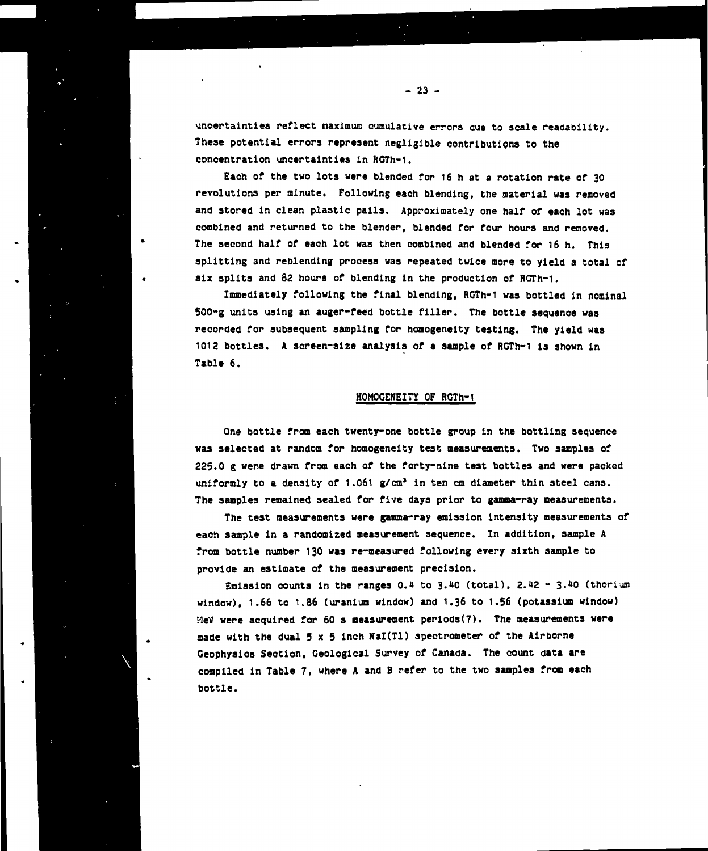**uncertainties reflect maximum cumulative errors due to scale readability. Theae potential errors represent negligible contributions to the concentration uncertainties in RGTh-1.**

**Each of the two lots were blended for 16 h at a rotation rate of 30 revolutions per minute. Following each blending, the aaterial was removed and stored in clean plastic pails. Approximately one half of each lot was combined and returned to the blender, blended for four hours and removed. The second half of each lot was then combined and blended for 16 h. This splitting and reblending process was repeated twice more to yield a total of six splits and 82 hours of blending in the production of RGTh-1.**

**Immediately following the final blending, RGTh-1 was bottled in nominal 500-g units using an auger-feed bottle filler. The bottle sequence was recorded for subsequent sampling for homogeneity testing. The yield was 1012 bottles. A screen-size analysis of a sample of RGTh-1 is shown in Table 6.**

#### **HOMOGENEITY OF RGTh-1**

**One bottle from each twenty-one bottle group in the bottling sequence was selected at random for homogeneity test measurements. Two samples of 225.0 g were drawn from each of the forty-nine test bottles and were packed uniformly to a density of 1.061 g/cm<sup>1</sup> in ten cm diameter thin steel cans. The samples remained sealed for five days prior to gamma-ray measurements.**

**The test measurements were gamma-ray emission intensity measurements of each sample in a randomized measurement sequence. In addition, sample A from bottle number 130 was re-measured following every sixth sample to provide an estimate of the measurement precision.**

**Emission counts in the ranges 0.U to 3. HO (total), 2.i»2 - I.HO (thorium window), 1.66 to 1.86 (uranium window) and 1.36 to 1.56 (potassium window) MeV were acquired for 60 s measurement periods(7). The measurements were made with the dual 5x 5 inch Nal(Tl) spectrometer of the Airborne Geophysics Section, Geological Survey of Canada. The count data are compiled in Table 7, where A and B refer to the two samples from each bottle.**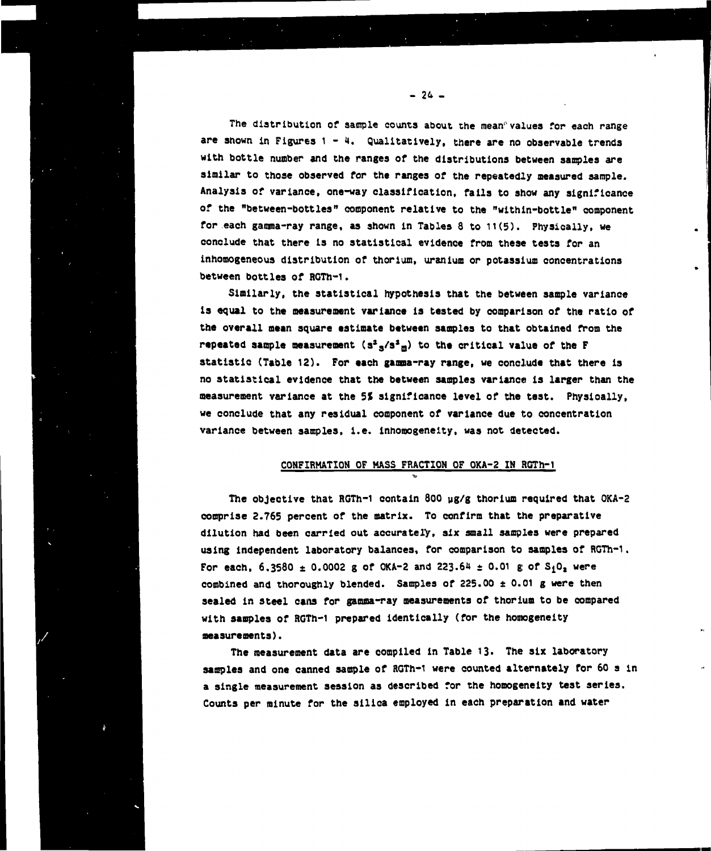**The distribution of sample counts about the mean" values for each range are shown in Figures 1 - 4. Qualitatively, there are no observable trends with bottle number and the ranges or the distributions between samples are similar to those observed for the ranges of the repeatedly measured sample. Analysis of variance, one-way classification, fails to show any significance of the "between-bottles" component relative to the "wlthln-bottle" component for each gamma-ray range, as shown in Tables 8 to 11(5). Physically, we conclude that there is no statistical evidence from these tests for an inhomogeneous distribution of thorium, uranium or potassium concentrations between bottles of RGTh-1.**

**Similarly, the statistical hypothesis that the between sample variance ia equal to the measurement variance is tested by comparison of the ratio of the overall mean square estimate between samples to that obtained from the repeated sample measurement (s<sup>a</sup> <sup>s</sup>/s\*D) to the critical value of the F statistic (Table 12). For each guana-ray range, we conclude that there is no statistical evidence that the between samples variance is larger than the measurement variance at the 51 significance level of the test. Physically, we conclude that any residual component of variance due to concentration variance between samples, i.e. inhomogeneity, was not detected.**

#### **CONFIRMATION OF MASS FRACTION OF OKA-2 IM RGTh-1**

**The objective that RGTh-1 contain 800 ug/g thorium required that OKA-2 comprise 2.765 percent of the matrix. To confirm that the preparative dilution had been carried out accurately, six small samples were prepared using Independent laboratory balances, for comparison to samples of RGTh-1.** For each,  $6.3580 \pm 0.0002$  g of OKA-2 and 223.64  $\pm$  0.01 g of S<sub>1</sub>0<sub>2</sub> were **combined and thoroughly blended. Samples of 225.00 ±0.01 g were then sealed In steel cans for gamma-ray measurements of thorium to be compared with samples of RGTh-1 prepared identically (for the homogeneity measurements}.**

**The measurement data are compiled in Table 13. The six laboratory samples and one canned sample of RGTh-1 were counted alternately for 60 s in a single measurement session as described for the homogeneity test series. Counts per minute for the silica employed in each preparation and water**

**- 24 -**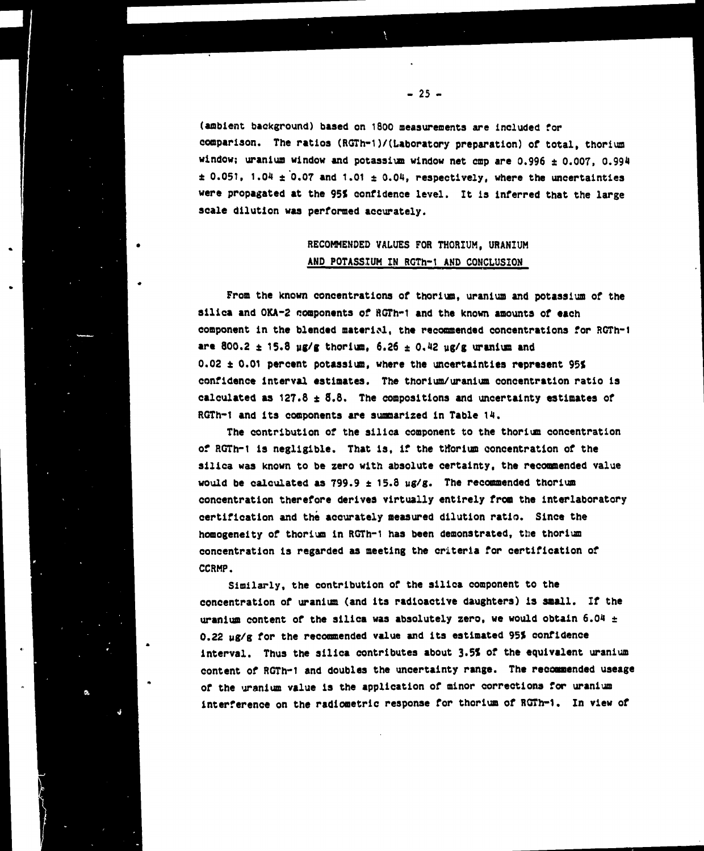**(ambient background) based on 1800 measurements are included for comparison. The ratios (RGTh-1)/(Laboratory preparation) of total, thorium** window; uranium window and potassium window net cmp are  $0.996 \pm 0.007$ , 0.994  $\pm$  0.051, 1.04  $\pm$  0.07 and 1.01  $\pm$  0.04, respectively, where the uncertainties **were propagated at the 95< confidence level. It is inferred that the large scale dilution was performed accurately.**

## **RECOMMENDED VALUES FOR THORIUM, URANIUM AND POTASSIUM IN RGTh-1 AND CONCLUSION**

**From the known concentrations of thorium, uranium and potassium of the silica and OKA-2 components of RGTh-1 and the known amounts of each component in the blended material, the recommended concentrations for RGTh-1** are 800.2  $\pm$  15.8 ug/g thorium, 6.26  $\pm$  0.42 ug/g uranium and **0.02 t 0.01 percent potassium, where the uncertainties represent 95J confidence interval estimates. The thorium/uranium concentration ratio is calculated as 127.8 ± 8.8. The compositions and uncertainty estimates of RGTh-1 and its components are summarized in Table 14.**

**The contribution of the silica component to the thorium concentration of RGTh-1 is negligible. That is, if the ttforium concentration of the silica was known to be zero with absolute certainty, the recommended value would be calculated as 799.9 ± 15.8 ug/g. The recommended thorium concentration therefore derives virtually entirely from the interlaboratory certification and the accurately measured dilution ratio. Since the homogeneity of thorium in RGTh-1 has been demonstrated, the thorium concentration is regarded as meeting the criteria for certification of CCRMP.**

**Similarly, the contribution of the silica component to the concentration of uranium (and Its radioactive daughters) is small. If the uranium content of the silica was absolutely zero, we would obtain 6.04 ± 0.22 ug/g for the recommended value and its estimated 95? confidence interval. Thus the silica contributes about 3.5\* of the equivalent uranium content of RGTh-1 and doubles the uncertainty range. The recommended useage of the uranium value is the application of minor corrections for uranium interference on the radiometrlc response for thorium of ROTn-1. In view of**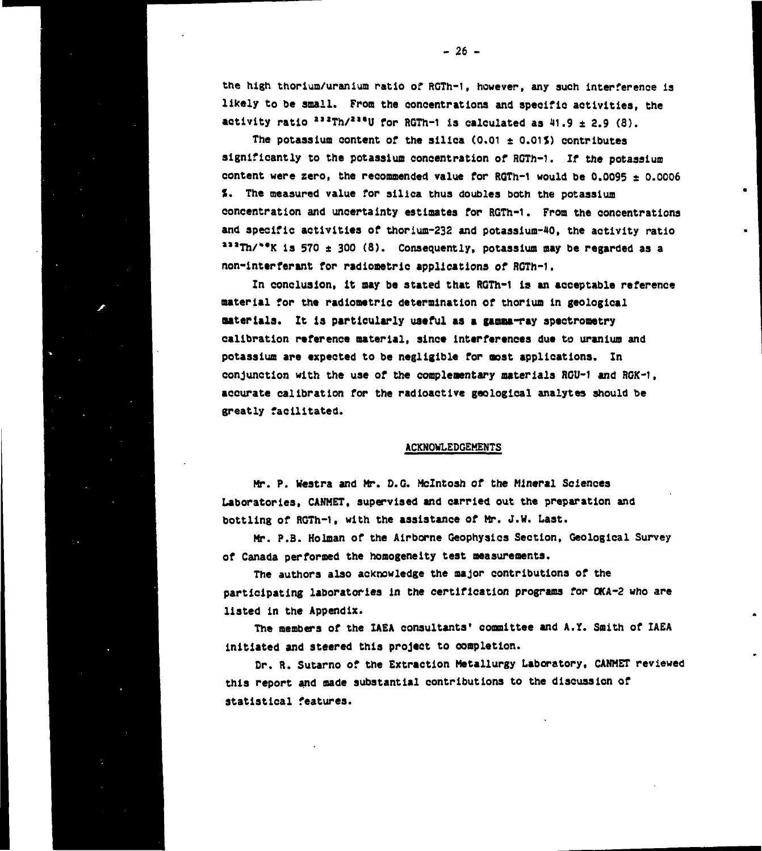**the high thorium/uraunium ratio of RGTh-1, however, any such interference is likely to be small. From the concentrations and specific activities, the activity ratio <sup>a</sup>\*\*Th/\*\*<sup>t</sup>U for RGTh-1 is calculated as 41.9 ± 2.9 (8).**

**The potassium content of the silica (0.01 ± 0.01\*) contributes significantly to the potassium concentration of RGTh-1. If the potassium content were zero, the recommended value for RGTh-1 would be 0.0095 ± 0.0006 %. The measured value for silica thus doubles both the potassium concentration and uncertainty estimates for RGTh-1. From the concentrations** and specific activities of thorium-232 and potassium-40, the activity ratio **\*\*\*Th/\*\*K is 570 \* 300 (8). Consequently, potassium may be regarded as a non-interferant for radiometrlc applications of RGTh-1.**

**In conclusion, it may be stated that RGTh-1 Is an acceptable reference material for the radiometrlc determination of thorium In geological aateriala. It Is particularly useful as a gamaa-ray spectrooetry calibration reference material, since interferences due to uranium and potassium are expected to be negligible for most applications. In conjunction with the use of the complementary materials RGU-1 and RGK-1, accurate calibration for the radioactive geological analytes should be greatly facilitated.**

#### **ACKNOWLEDGEMENTS**

**Mr. P. Westra and Mr. D.G. Mclntosh of the Mineral Sciences Laboratories, CANMET, supervised and carried out the preparation and bottling of RGTh-1, with the assistance of Mr. J.W. Last.**

**Mr. P.B. Holman of the Airborne Geophysics Section, Geological Survey of Canada performed the homogeneity test measurements.**

**The authors also acknowledge the major contributions of the participating laboratories in the certification programs for OKA-2 who are listed in the Appendix.**

**The members of the IAEA consultants' committee and A.Y.. Smith of IAEA initiated and steered this project to completion.**

**Dr. R. Sutarno of the Extraction Metallurgy Laboratory, CANMET reviewed this report and made substantial contributions to the discussion of statistical features.**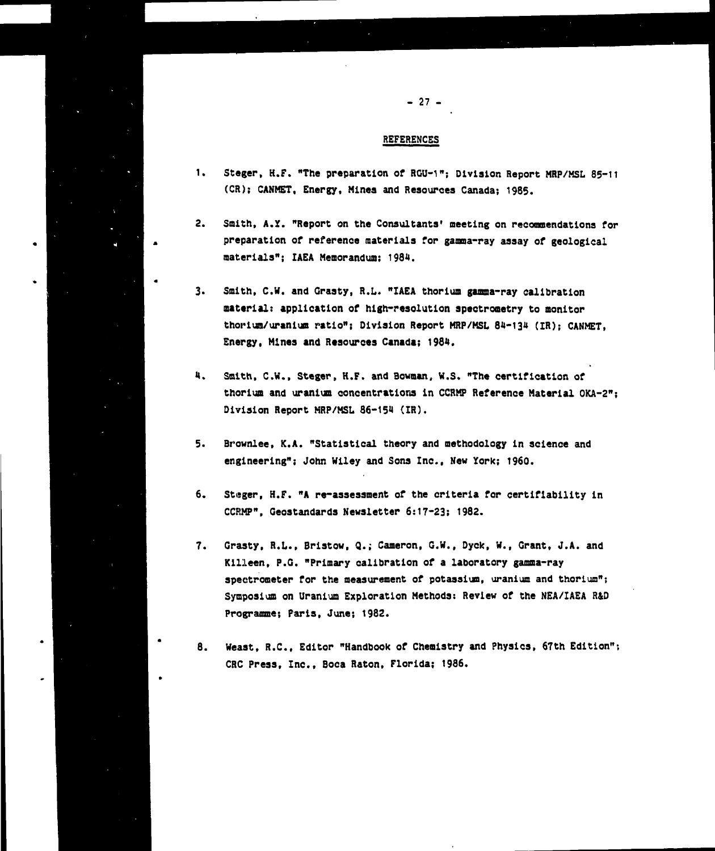**- 27 -**

- **1. Steger, H.F. "The preparation of RGU-1"; Division Report MRP/MSL 85-11 (CR); CANMET, Energy, Mines and Resources Canada; 1985.**
- **2. Smith, A.Y. "Report on the Consultants' meeting on recommendations for preparation of reference materials for gamma-ray assay of geological materials"; IAEA Memorandum; 1984.**
- **3. Smith, C.W. and Graaty, R.L. "IAEA thorium gamma-ray calibration material: application of high-resolution apectrometry to monitor thoriun/uranium ratio"; Diviaion Report MRP/MSL 84-134 (IR)j CANMET, Energy, Mlnea and Resources Canada; 1984.**
- **4. Smith, C.W., Steger, H.F. and Bowman, W.S. "The certification of thorium and uranium concentrations in CCRMP Reference Material OKA-2"; Division Report MRP/MSL 86-154 (IR).**
- **5. Brownlee, K.A. "Statistical theory and methodology in science and engineering"; John Wiley and Sons Inc., New York; 1960.**
- **6. Steger, H.F. "A re-assessment of the criteria for certifiability in CCRMP", Geostandards Newsletter 6:17-23; 1982.**
- **7. Grasty, R.L., Briatow, Q.; Cameron, G.W., Dyek, W.f Grant, J.A. and Kllleen, P.G. "Primary calibration of a laboratory gamma-ray spectrometer for the measurement of potassium, uranium and thorium"; Symposium on Uranium Exploration Methods: Review of the NEA/IAEA R&D Programme; Paris, June; 1982.**
- **8. Weast, R.C., Editor "Handbook of Chemistry and Physics, 67th Edition"; CRC Press, Inc., Boca Raton, Florida; 1986.**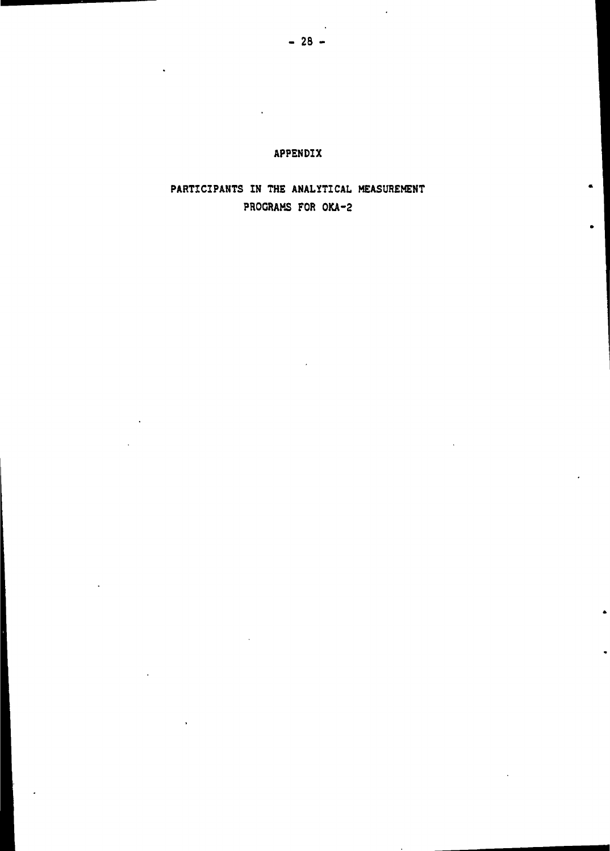## **PARTICIPANTS IN THE ANALYTICAL MEASUREMENT PROGRAMS FOR OKA-2**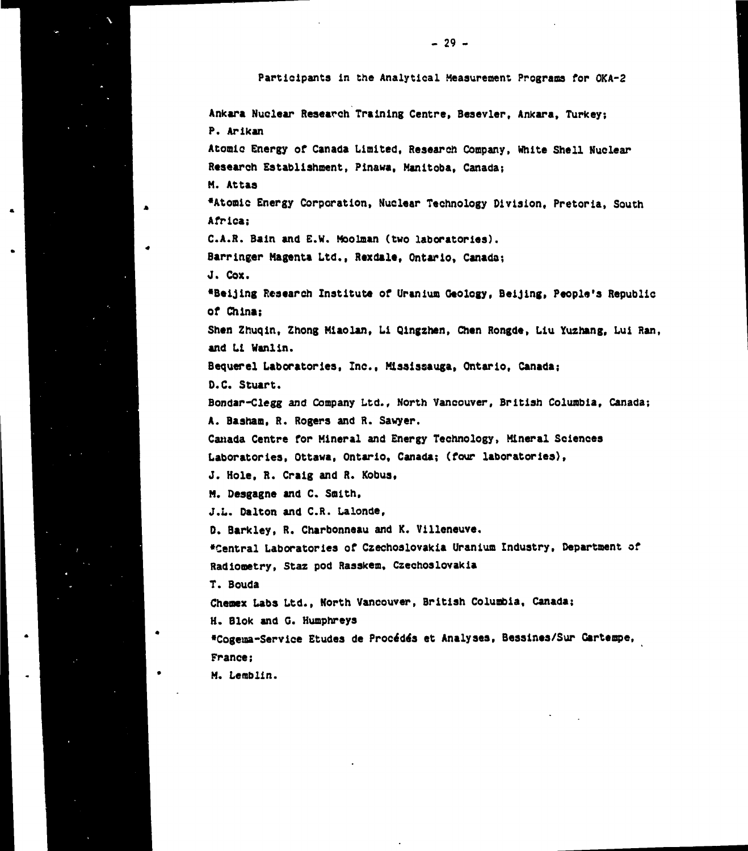**Participants in the Analytical Measurement Programs for OKA-2**

**Ankara Nuclear Research Training Centre, Besevler, Ankara, Turkey; P. Arlkan Atomic Energy of Canada Limited, Research Company, White Shell Nuclear Research Establishment, Pinawa, Manitoba, Canada; M. Attas •Atomic Energy Corporation, Nuclear Technology Division, Pretoria, South Africa; C.A.R. Bain and E.W. Moolman (two laboratories). Barrlnger Magenta Ltd., Rexdale, Ontario, Canada; J. Cox. •Beijing Research Institute of Uranium Ceology, Beijing, People's Republic of China; Shen Zhuqln, Zhong Mlaolan, Li Qingzhen, Chen Rongde, Liu Yuzhang, Lui Ran, and Li Wanlin. Bequerel Laboratories, Inc., Mlasissauga, Ontario, Canada; D.C. Stuart. Bondar-Clegg and Company Ltd., North Vancouver, British Columbia, Canada; A. Basham, R. Rogers and R. Sawyer. Canada Centre for Mineral and Energy Technology, Mineral Sciences Laboratories, Ottawa, Ontario, Canada; (four laboratories), J. Hole, R. Craig and R. Kobus, M. Desgagne and C. Smith, J.L. Dalton and C.R. Lalonde, D. Barkley, R. Charbonneau and K. Villeneuve. •Central Laboratories of Czechoslovakia Uranium Industry, Department of Radionetry, Staz pod Raaskem, Czechoslovakia T. Bouda Chemex Labs Ltd., North Vancouver, British Columbia, Canada; H. Blok and G. Humphreys •Cogeua-Service Etudes de Process et Analyses, Bessines/Sur Gartempe, France; M. Lemblin.**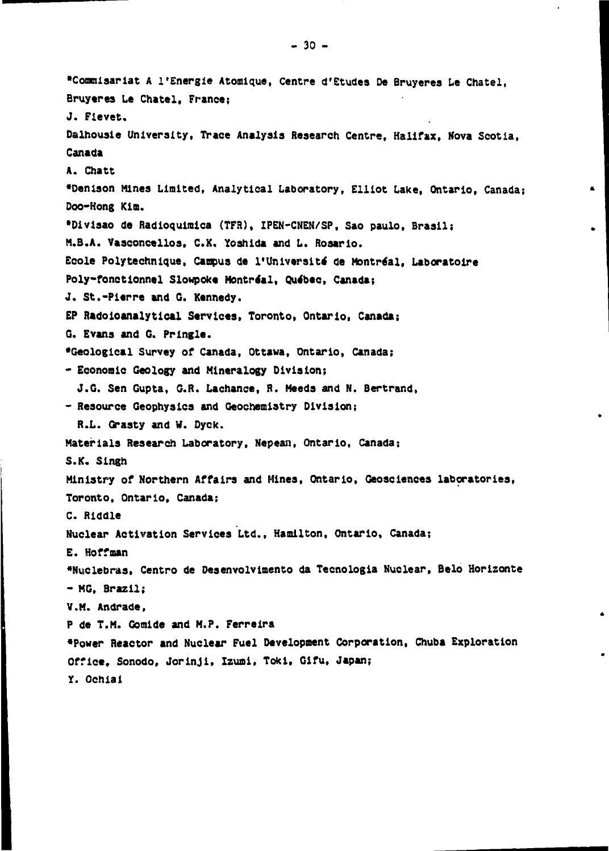**•Commisariat A l'Energie Atomique, Centre d'Etudes De Bruyerea Le Chatel, Bruyeres Le Chatel, France; J. Fievet. Daihousie University, Trace Analysis Research Centre, Halifax, Nova Scotia, Canada A. Chatt •Denison Mines Limited, Analytical Laboratory, Elliot Lake, Ontario, Canada; Doo-Hong Kim. •Divisao de Radioquimica (TFR), IPEN-CNEN/SP, Sao paulo, Brasil; M.B.A. Vasconcellos, C.X. Yoshida and L. Rosarlo.** Ecole Polytechnique, Campus de l'Université de Montréal, Laboratoire **Poly-fonetionnel Slowpoke Montreal, Quebec, Canada; J. St.-Pierre and G. Kennedy. EP Radoloanalytical Services, Toronto, Ontario, Canada; G. Evans and G. Pringle. •Geological Survey of Canada, Ottawa, Ontario, Canada; \* Economic Geology and Mineralogy Division; J.G. Sen Gupta, G.R. Lachance, R. Meeds and N. Bertrand, - Resource Geophysics and Geochemistry Division; R.L. Grasty and W. Dyck. Materials Research Laboratory, Nepean, Ontario, Canada; S.K. Singh Ministry of Northern Affairs and Mines, Ontario, Geosciences laboratories, Toronto, Ontario, Canada; C. Riddle Nuclear Activation Services Ltd., Hamilton, Ontario, Canada; E. Hoffman \*Nuclebras, Centro de Desenvolvimento da Tecnologia Nuclear, Belo Horizonte - MG, Brazil; V.M. Andrade, P de T.M. Gomlde and M.P. Ferreira •Power Reactor and Nuclear Fuel Development Corporation, Chuba Exploration Office, Sonodo, Jorinjl, Izumi, Tokl, Gifu, Japan; Y. Ochiai**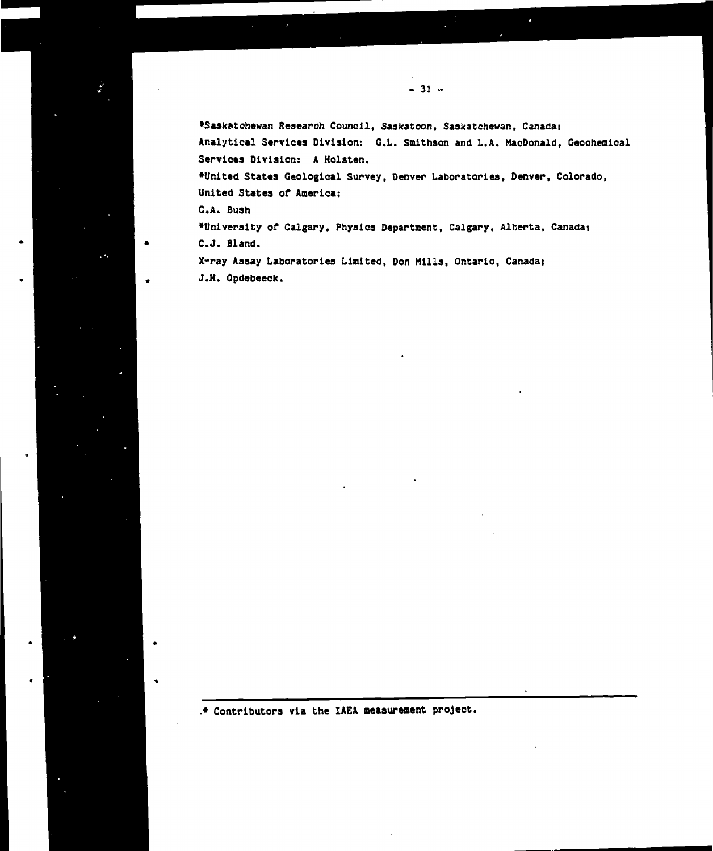**•Saskatchewan Research Council, Saskatoon, Saskatchewan, Canada; Analytical Services Division: Q.L. Smithson and L.A. MacDonald, Geoohemioal Services Division: A Holsten.**

**- 31 •-**

**•United States Geological Survey, Denver Laboratories, Denver, Colorado, United States of America;**

**C.A. Bush**

 $\mathbf{r}_i$ 

. ٠.

**•University of Calgary, Physics Department, Calgary, Alberta, Canada; C.J. Bland.**

**X-ray Assay Laboratories Limited, Don Mills, Ontario, Canada; J.H. Opdebeeck.**

**• Contributors via the IAEA measurement project.**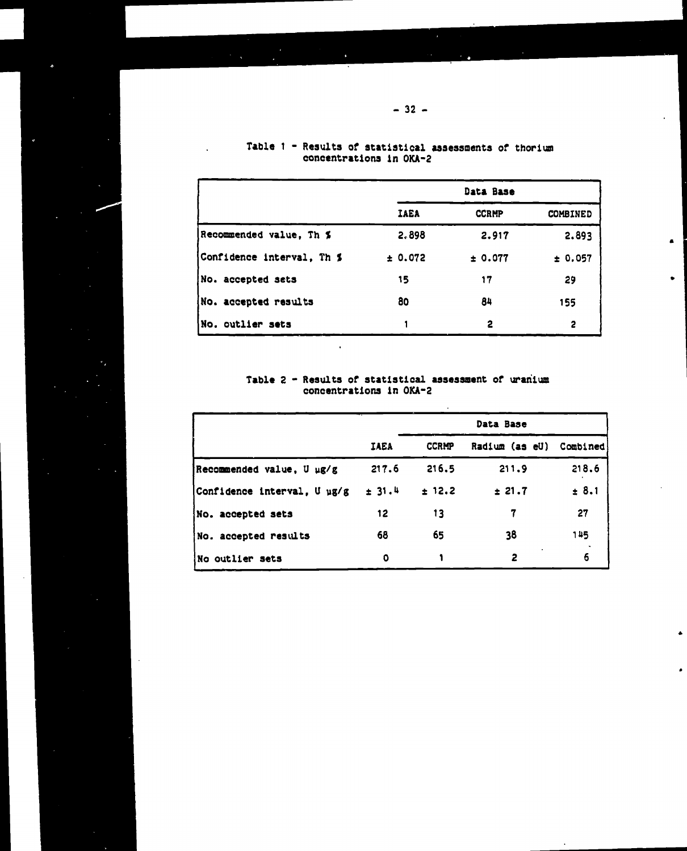|                           |         | Data Base    |          |
|---------------------------|---------|--------------|----------|
|                           | IAEA    | <b>CCRMP</b> | COMBINED |
| Recommended value, Th %   | 2.898   | 2.917        | 2.893    |
| Confidence interval, Th % | ± 0.072 | ± 0.077      | ± 0.057  |
| No. accepted sets         | 15      | 17           | 29       |
| No. accepted results      | 80      | 84           | 155      |
| No. outlier sets          |         | 2            | 2        |

 $\blacksquare$ 

 $\bullet$ 

 $\bullet$ 

## Table 1 - Results of statistical assessments of thorium concentrations in OKA-2

 $\ddot{\phantom{a}}$ 

### Table 2 - Results of statistical assessment of uranium concentrations in OKA-2

 $\ddot{\phantom{a}}$ 

|                             | IAEA   | <b>CCRMP</b> | Radium (as eU) | Combined |
|-----------------------------|--------|--------------|----------------|----------|
| Recommended value, U µg/g   | 217.6  | 216.5        | 211.9          | 218.6    |
| Confidence interval, U µg/g | ± 31.4 | ± 12.2       | ± 21.7         | ± 8.1    |
| No. accepted sets           | 12     | 13           | 7              | 27       |
| No. accepted results        | 68     | 65           | 38             | 145      |
| No outlier sets             | 0      |              | 2              | 6        |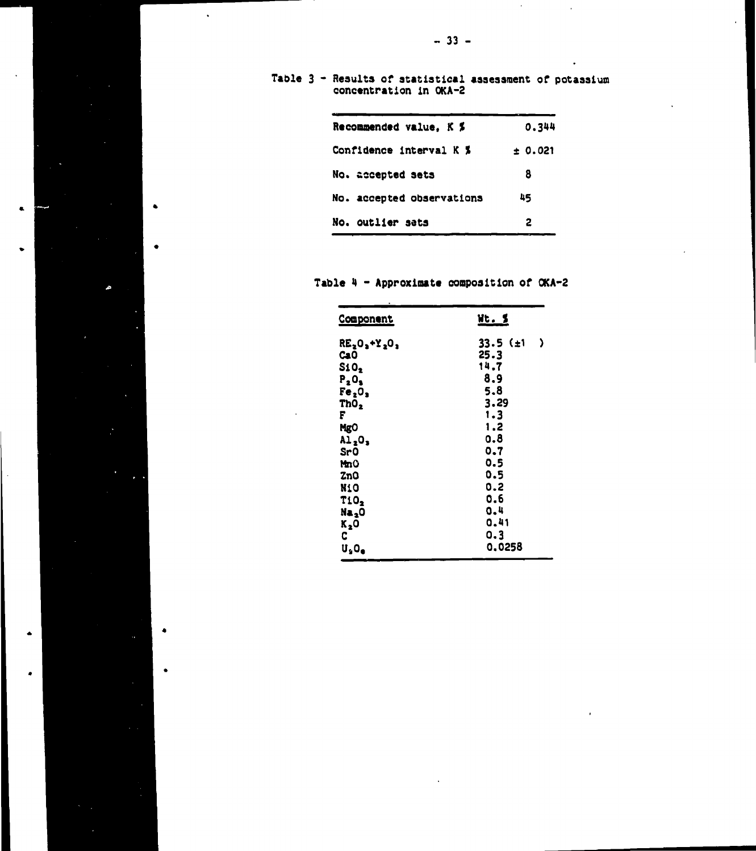$\bar{z}$ 

 $\mathbf{r}$ 

**Table 3 - Results of statistical assessment of potassium concentration in OKA-2**

| Recommended value. K %    | 0.344   |
|---------------------------|---------|
| Confidence interval K %   | ± 0.021 |
| No. accepted sets         | 8       |
| No. accepted observations | 45      |
| No. outlier sats          | 2       |

 $\bullet$ 

 $\bullet$ 

 $\bullet$ 

 $\bullet$ 

**Table 4 - Approximate composition of OKA-2**

| <u>Component</u>               | <u>Wt. S</u>        |
|--------------------------------|---------------------|
| RE <sub>2</sub> O, +Y, O,      | )<br>33.5 $(\pm 1)$ |
| CaO                            | 25.3                |
| S10 <sub>2</sub>               | 14.7                |
| $P_2O_3$                       | 8.9                 |
| Fe <sub>2</sub> O <sub>3</sub> | 5.8                 |
| ThO,                           | 3.29                |
| F                              | 1.3                 |
| <b>MgO</b>                     | 1.2                 |
| Al <sub>2</sub> O,             | o.8                 |
| Sr0                            | 0.7                 |
| MmO                            | 0.5                 |
| ZnO                            | 0.5                 |
| <b>N1O</b>                     | 0.2                 |
| T10,                           | 0.6                 |
| Na <sub>2</sub> O              | 0.4                 |
| K <sub>2</sub> 0               | 0.41                |
| C                              | 0.3                 |
| ប,០,                           | 0.0258              |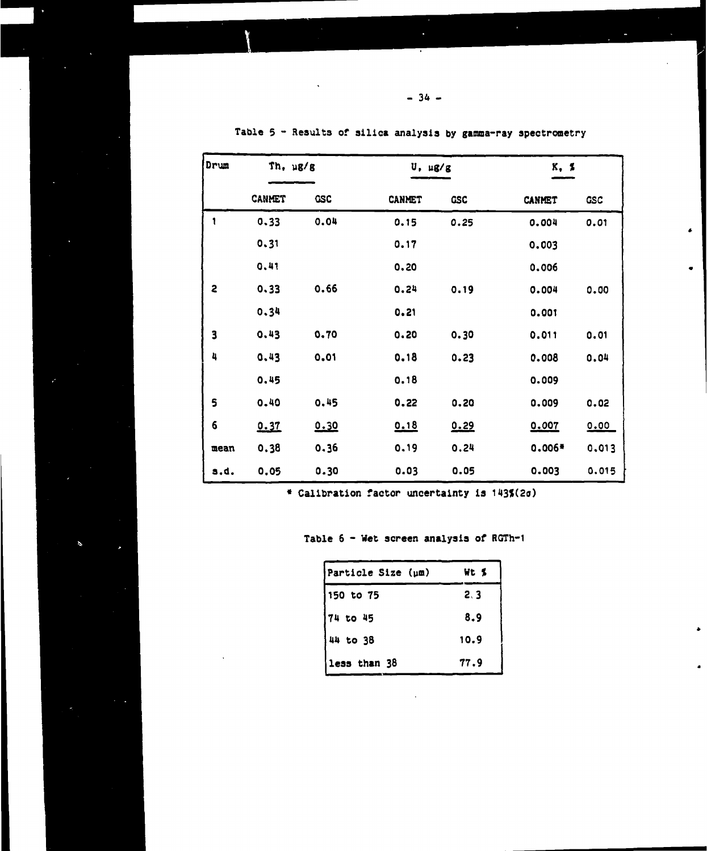| Drum                    | Th, µg/g      |            | U, ug/g |            | K. 2          |            |  |
|-------------------------|---------------|------------|---------|------------|---------------|------------|--|
|                         | <b>CANMET</b> | <b>GSC</b> | CANMET  | <b>GSC</b> | <b>CANMET</b> | <b>GSC</b> |  |
| 1                       | 0.33          | 0.04       | 0.15    | 0.25       | 0.004         | 0.01       |  |
|                         | 0.31          |            | 0.17    |            | 0.003         |            |  |
|                         | 0,41          |            | 0.20    |            | 0.006         |            |  |
| $\overline{\mathbf{c}}$ | 0.33          | 0.66       | 0.24    | 0.19       | 0.004         | 0.00       |  |
|                         | 0.34          |            | 0.21    |            | 0.001         |            |  |
| $\overline{\mathbf{3}}$ | 0.43          | 0.70       | 0.20    | 0.30       | 0.011         | 0.01       |  |
| 4                       | 0.43          | 0.01       | 0.18    | 0.23       | 0.008         | 0.04       |  |
|                         | 0.45          |            | 0.18    |            | 0.009         |            |  |
| 5                       | 0.40          | 0.45       | 0.22    | 0.20       | 0.009         | 0.02       |  |
| 6                       | 0.37          | 0.30       | 0.18    | 0.29       | 0.007         | 0.00       |  |
| mean                    | 0.38          | 0.36       | 0.19    | 0.24       | 0.006*        | 0.013      |  |
| s.d.                    | 0.05          | 0.30       | 0.03    | 0.05       | 0.003         | 0.015      |  |

**Table 5 - Results of silica analysis by gamma-ray spectrometry**

**Calibration factor uncertainty ia I43f(2o)**

## **Table 6 - Wet screen analysis of RGTh-1**

Á

| Particle Size (um) | Wt S |
|--------------------|------|
| 150 to 75          | 2.3  |
| <b>74 to 45</b>    | 8.9  |
| 44 to 38           | 10.9 |
| less than 38       | 77.9 |

 $\bullet$ 

 $\bullet$ 

ä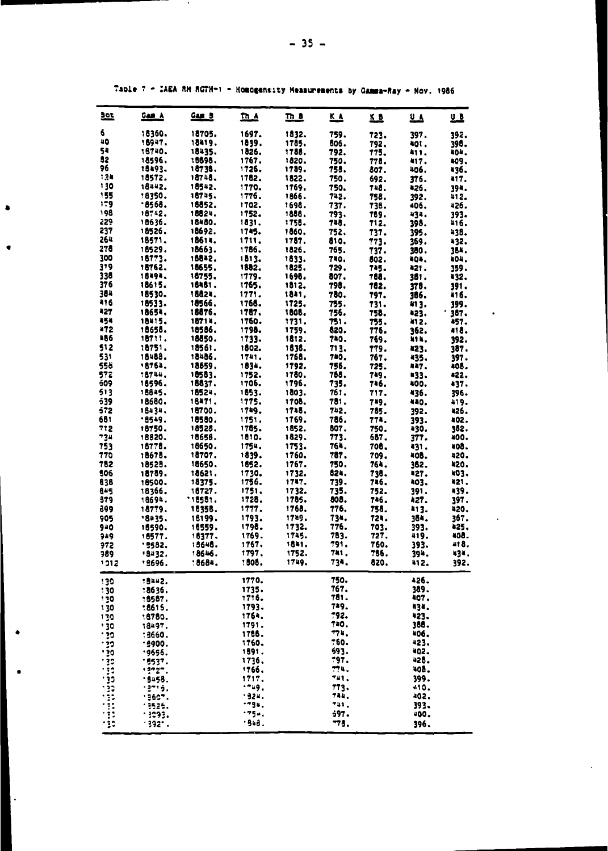| <u>set</u> | <u>Gam A</u>     | <u>Gam B</u>     | $n_A$          | <u>In a</u>    | <u>KA</u>    | <u>KB</u>    | <u>u a</u>   | 山            |
|------------|------------------|------------------|----------------|----------------|--------------|--------------|--------------|--------------|
| 6          | 18360.           | 18705.           | 1697.          | 1832.          | 759.         | 723.         | 397.         | 392.         |
| 40         | 18947.           | 18419.           | 1839.          | 1785.          | 806.         | 792.         | <b>401.</b>  | 398.         |
| 54         | 18740.           | 18435.           | 1826.          | 1785.          | 792.         | 775.         | 411.         | 404.         |
| 82         | 18596.           | 18898.           | 1767.          | 1820.          | 750.         | 778.         | 417.         | 409.         |
| 96         | 15493.           | 18738.           | 1726.          | 1789.          | 758.         | 807.         | 406.         | 436.         |
| 134        | 18572.           | 18748.           | 1782.          | 1822.          | 750.         | 692.         | 376.         | 417.         |
| 130        | 18442.           | 18542.           | 1770.          | 1769.          | 750.         | 748.         | 426.         | 39ª.         |
| 155        | 18350.           | 18745.           | 1776.          | 1866.          | 742.         | 758.         | 392.         | 412.         |
| 179<br>198 | .8568.<br>18742. | 16852.           | 1702.          | 1698.          | 737.         | 738.         | 406.         | 426.         |
| 229        | 18636.           | 18824.<br>18480. | 1752.<br>1831. | 1888.<br>1758. | 793.<br>748. | 789.         | 434.         | 393.         |
| 237        | 18526.           | 18692.           | 1745.          | 1860.          | 752.         | 712.<br>737. | 398.<br>395. | 416.<br>438. |
| 264        | 18571.           | 18614.           | 1711.          | 1787.          | 810.         | 773.         | 369.         | 432.         |
| 278        | 18529.           | 18663.           | 1786.          | 1826.          | 765.         | 737.         | 380.         | 364.         |
| 300        | 18773.           | 15842.           | 1813.          | 1833.          | 740.         | 802.         | 404.         | 404.         |
| 319        | 18762.           | 18655.           | 1882.          | 1825.          | 729.         | 745.         | 421.         | 159.         |
| 338        | 18494.           | 18755.           | 1779.          | 1698.          | 807.         | 768.         | 381.         | 432.         |
| 376        | 18615.           | 18481.           | 1765.          | 1812.          | 798.         | 182.         | 375.         | 391.         |
| 384        | 18530.           | 18824.           | 1771.          | 1841,          | 780.         | 797.         | 166.         | 416.         |
| 416        | 18533.           | 18566.           | 1768.          | 1725.          | 755.         | 731.         | 81 ].        | 399.         |
| 427        | 18654.           | 18876.           | 1787.          | 1808.          | 756.         | 758.         | 423.         | ٠<br>387.    |
| 454        | 18415.           | 18714.           | 1760.          | 1731.          | 751.         | 755.         | 412.         | 457.         |
| 472        | 18658.           | 18586.           | 1798.          | 1759.          | 820.         | 776.         | 362.         | 418.         |
| 186        | 18711.           | 18850.           | 1733.          | 1812.          | 740.         | 769.         | 414,         | 392.         |
| 512        | 18751.           | 18561.           | 1802.          | 1838.          | 713.         | 779.         | 423.         | 387.         |
| 531<br>558 | 18488.<br>18764. | 18486.<br>18659. | 1741.<br>1834. | 1768.<br>1792. | 780,<br>756. | 767.         | 435.         | 397.<br>i05. |
| 572        | :8744,           | 18583.           | 1752.          | 1780.          | 768.         | 725.<br>749. | 847.<br>433. | 422.         |
| 509        | 18596.           | 18837.           | 1706.          | 1796.          | 735.         | 746.         | 400,         | 437.         |
| 513        | 18845.           | 18524.           | 1853.          | 1803.          | 761.         | 717.         | 436.         | 396.         |
| 539        | 18680.           | 18471.           | 1775.          | 1708.          | 781.         | 749.         | 440.         | 419.         |
| 572        | 18434.           | 18700.           | 1749.          | 1748.          | 742.         | 785.         | 392.         | 426.         |
| 681        | .8549.           | 18580.           | 1751.          | 1769.          | 786.         | 774.         | 393.         | 402.         |
| 712        | 18750.           | 18528.           | 1785.          | 1852.          | 807.         | 750.         | 430.         | 382.         |
| 734        | 18820.           | 18656.           | 1810.          | 1829.          | 773.         | 687.         | 377.         | 400.         |
| 753        | 18778.           | 18650.           | 1754.          | 1753.          | 764.         | 708.         | 431.         | 408.         |
| 770        | 18678.           | 18707.           | 1839.          | 1760.          | 787.         | 709.         | 408.         | 420.         |
| 782        | 18528.           | 18650.           | 1652.          | 1767.          | 750.         | 764.         | 382.         | 420.<br>403. |
| 506<br>838 | 18789.<br>18500. | 18621.<br>18375. | 1730.<br>1756. | 1732.<br>1747. | 824.<br>739. | 738.<br>746. | 427.<br>403. | 421,         |
| 845        | 18366.           | 16727.           | 1751.          | 1732.          | 735.         | 752.         | 391.         | 439.         |
| 379        | 18694.           | .18581.          | 1728.          | 1785.          | 808.         | 746.         | 427.         | 397.         |
| 399        | 18779.           | 18358.           | 1777.          | 1768.          | 776.         | 758.         | 413.         | 420.         |
| 905        | '8435.           | 18199.           | 1793.          | 1729.          | 734.         | 724.         | 384.         | 367.         |
| 940        | 16590.           | 18559.           | 1798.          | 1732.          | 776.         | 703.         | 393.         | 425.         |
| 949        | 18577.           | 16377.           | 1769.          | 1745.          | 783.         | 727.         | 419.         | 408.         |
| 972        | .9582.           | 15648.           | 1767.          | 1841.          | 791.         | 760.         | 393.         | 418.         |
| 989        | '8432.           | 18646.           | 1797.          | 1752.          | <b>741.</b>  | 766.         | 39ª.         | 434.         |
| 1012       | .9696.           | : 8684.          | :808.          | 1749.          | 734.         | 820.         | 412.         | 392.         |
| 130        | :3442.           |                  | 1770.          |                | 750.         |              | 426.         |              |
| :30        | :8636.           |                  | 1735.          |                | 767.         |              | 389.         |              |
| 130        | :5587.           |                  | 1716.          |                | 781.         |              | 407.         |              |
| 130        | :8615.           |                  | 1793.          |                | 749.         |              | 434.         |              |
| 130        | 16780.           |                  | 1764.          |                | 792.         |              | 423.         |              |
| 130        | 18497.           |                  | 1791.          |                | 740.<br>774. |              | 388.         |              |
| פי י       | :3660.           |                  | 1756.<br>1760. |                | 760.         |              | 406.<br>423. |              |
| $\cdot$ 30 | .9900.<br>.9555. |                  | 1891.          |                | 693.         |              | 402.         |              |
| פְּלִי     | .9537.           |                  | 1736.          |                | 797.         |              | 42B.         |              |
|            | 19727.           |                  | '766.          |                | 77 L.        |              | 408.         |              |
|            | .9458.           |                  | 1717.          |                | 741,         |              | 399.         |              |
|            | $-2 - 5.$        |                  | $-29.$         |                | 773.         |              | 410.         |              |
|            | $1960^{\circ}$ . |                  | $-324.$        |                | 744.         |              | 402.         |              |
|            | 13525.           |                  | $-94.$         |                | Tail.        |              | 393.         |              |
|            | $-3093.$         |                  | $-25.4$        |                | 597.         |              | 400.         |              |
| ٠į         | .332.7           |                  | . B48.         |                | -75.         |              | 396.         |              |

 $\ddot{\phantom{0}}$ 

 $\ddot{\phantom{a}}$ 

Table 7 - IAEA RM RGTH-1 - Homogensity Measurements by Gamma-Ray - Nov. 1986

 $\bullet$ 

 $\bullet$ 

I

 $\ddot{\phantom{0}}$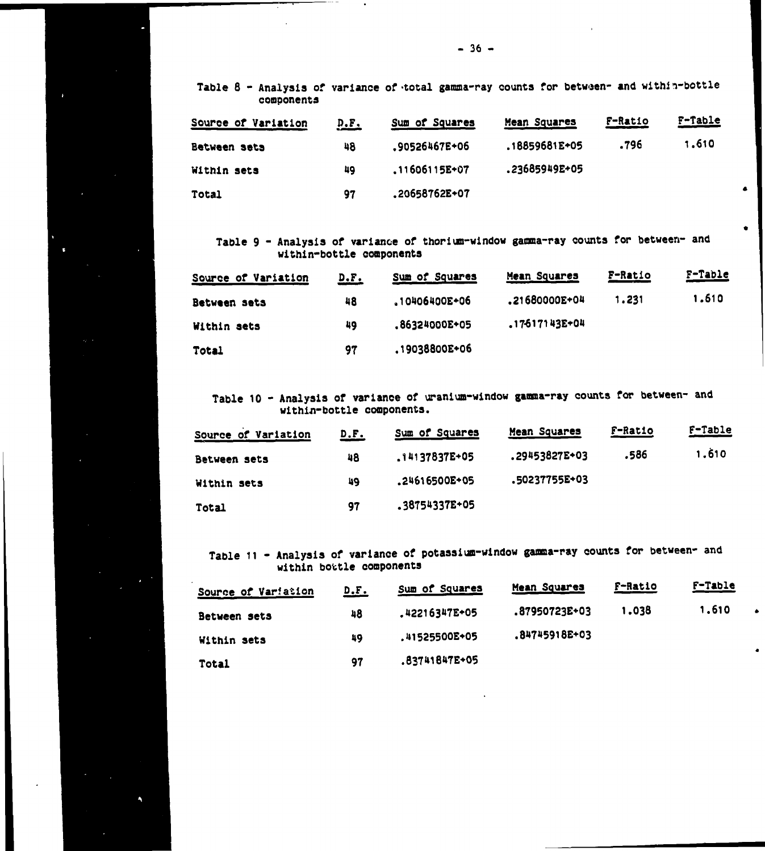**Table 8 - Analysis of variance of-total gamma-ray counts for between- and within-bottle components**

---- -

 $\tilde{\mathbf{q}}$ 

| Source of Variation | <u>D.F.</u> | Sum of Squares | Mean Squares  | F-Ratio | F-Table |
|---------------------|-------------|----------------|---------------|---------|---------|
| Between sets        | 48          | .90526467E+06  | .18859681E+05 | .796    | 1.610   |
| Within sets         | 49          | .11606115E+07  | .23685949E+05 |         |         |
| Total               | 97          | .20658762E+07  |               |         |         |

 $\bullet$ 

 $\bullet$ 

Á

**Table 9 - Analysis of variance of thorium-window gamma-ray counts for between- and within-bottle components**

| Source of Variation | <u>D.F.</u> | Sum of Squares | Mean Squares  | F-Ratio | F-Table |
|---------------------|-------------|----------------|---------------|---------|---------|
| Between sets        | 48          | 10406400E+06   | .21680000E+04 | 1.231   | 1,610   |
| Within sets         | 49          | ,86324000E+05  | .17617143E+04 |         |         |
| Total               | 97          | .19038800E+06  |               |         |         |

**Table 10 - Analysis of variance of uranium-window gamma-ray counts for between- and withia-bottle components.**

| Source of Variation | <u>D.F.</u> | Sum of Squares | Mean Squares  | F-Ratio | F-Table |
|---------------------|-------------|----------------|---------------|---------|---------|
| Between sets        | 48          | .14137837E+05  | .29453827E+03 | 586ء    | 1.610   |
| Within sets         | 49          | .24616500E+05  | .50237755E+03 |         |         |
| Total               | 97          | .38754337E+05  |               |         |         |

**Table 11 - Analysis of variance of potassium-window gamma-ray counts for between- and within bottle components**

| Source of Variation | <u>D.F.</u> | Sum of Squares      | Mean Squares  | <b>F-Ratio</b> | F-Table |
|---------------------|-------------|---------------------|---------------|----------------|---------|
| Between sets        | 48          | .42216347E+05       | .87950723E+03 | 1.038          | 1.610   |
| Within sets         | 49          | <b>41525500E+05</b> | .84745918E+03 |                |         |
| <b>Total</b>        | 97          | .83741847E+05       |               |                |         |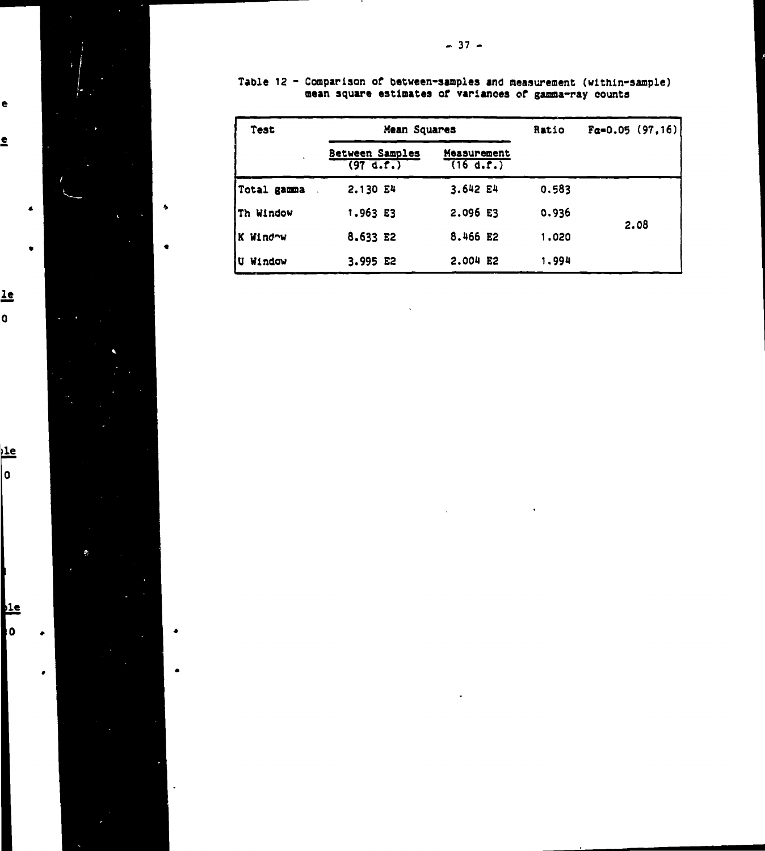

 $\bullet$ 

 $\bullet$ 

 $\bullet$ 

 $\underline{\mathbf{le}}$ o

e

<u>e</u>

 $\frac{1}{2}$  $|0\rangle$ 

l

 $\frac{1e}{0}$ 

Þ.

**- 37 -**

Table 12 - Comparison of between-samples and measurement (within-sample) mean square estimates of variances of gamma-ray counts

| Test             | Mean Squares                      |                          | Ratio | $Fa=0.05(97,16)$ |
|------------------|-----------------------------------|--------------------------|-------|------------------|
|                  | Between Samples<br>$(97 \, d.f.)$ | Measurement<br>(16 d.f.) |       |                  |
| Total gamma      | 2.130 E4                          | 3.642 E4                 | 0.583 |                  |
| Th Window        | 1.963 E3                          | 2.096 E3                 | 0.936 |                  |
| K Window         | 8.633 E2                          | 8.466 E2                 | 1.020 | 2.08             |
| <b>iU Window</b> | 3.995 E2                          | $2.004$ E2               | 1,994 |                  |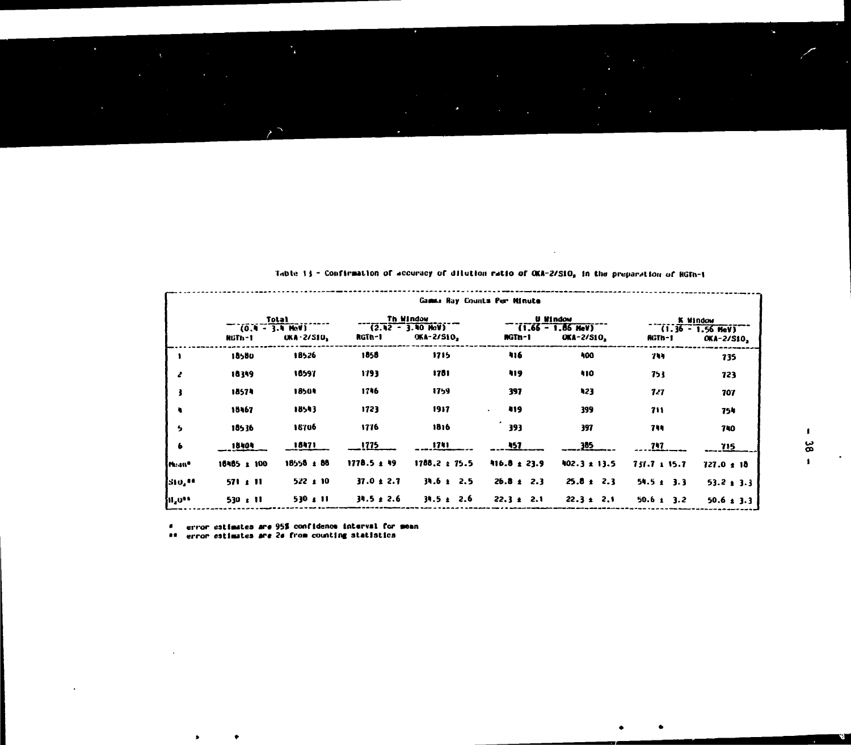|                   |                             |               |                 | Gamma Ray Counts Per Minute       |                  |                                          |                  |                                   |
|-------------------|-----------------------------|---------------|-----------------|-----------------------------------|------------------|------------------------------------------|------------------|-----------------------------------|
|                   |                             | Total         |                 | Th Window                         |                  | <b>U Window</b>                          |                  | K Window                          |
|                   | $(0.1 - 3.1$ HeV)<br>RGTh-1 | $OKA - 2/SIO$ | RGTh-1          | $(2.42 - 3.40$ HeV)<br>OKA-2/S10, | RGTn-1           | $(1.66 - 1.86$ HeV)<br><b>OKA-2/S10,</b> | RGTh-1           | $(1.36 - 1.56$ MeV)<br>OKA-2/S10, |
|                   | 18580                       | 18526         | 1858            | 1715                              | 416              | 400                                      | 744              | 735                               |
| Ł                 | 18349                       | 18597         | 1793            | 1781                              | 419              | 410                                      | 753              | 723                               |
| ł                 | 18574                       | 18504         | 1746            | 1759                              | 397              | 423                                      | 727              | 707                               |
| ٠                 | 18467                       | 18543         | 1723            | 1917                              | 419              | 399                                      | 711              | 754                               |
| 5                 | 18536                       | 18706         | 1776            | 1816                              | 393              | 397                                      | 744              | 740                               |
| $\bullet$         | 18404                       | 18471         | <u>1775 - </u>  | 1741                              | <u>457 .</u>     | 385                                      | 747              | 715                               |
| Muan <sup>o</sup> | 16485 ± 100                 | 18558 ± 88    | $1778.5 \pm 19$ | $1788.2 \pm 75.5$                 | $416.8 \pm 23.9$ | $402.3 \pm 13.5$                         | $731.7 \pm 15.7$ | $727.0 \pm 18$                    |
| 510, 10           | $571 \pm 11$                | $522 \pm 10$  | $37.0 \pm 2.7$  | $34.6 \pm 2.5$                    | $26.8 \pm 2.3$   | $25.8 \pm 2.3$                           | $54.5 \pm 3.3$   | $53.2 \pm 3.3$                    |
| 11,000            | $530 \pm 11$                | $530 \pm 11$  | $34.5 \pm 2.6$  | $34.5 \pm 2.6$                    | $22.3 \pm 2.1$   | $22.3 \pm 2.1$                           | $50.6 \pm 3.2$   | $50.6 \pm 3.3$                    |

Table 13 - Confirmation of accuracy of dilution ratio of OKA-2/SiO, in the preparation of RGTn-1

J.

error estimates are 95% confidence interval for mean  $\bullet$ 

 $\mathbf{r}_\mathrm{a}$ 

## error estimates are 20 from counting statistics

ś

v.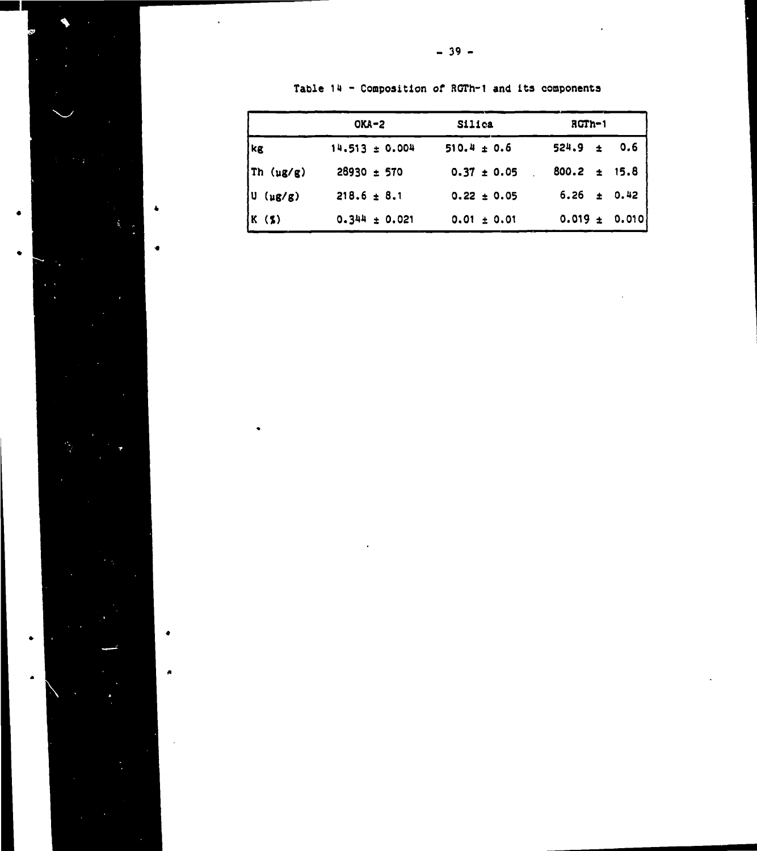|  |  |  | Table 14 - Composition of RGTh-1 and its components |  |  |  |  |  |
|--|--|--|-----------------------------------------------------|--|--|--|--|--|
|--|--|--|-----------------------------------------------------|--|--|--|--|--|

|                  | $OKA-2$            | Silica          | $ROTh-1$           |
|------------------|--------------------|-----------------|--------------------|
| kg               | $14.513 \pm 0.004$ | $510.4 \pm 0.6$ | $524.9 \pm 0.6$    |
| Th $(\mu g/g)$   | 28930 ± 570        | $0.37 \pm 0.05$ | $800.2 \pm 15.8$   |
| U<br>$(\mu g/g)$ | $218.6 \pm 8.1$    | $0.22 \pm 0.05$ | $\pm$ 0.42<br>6.26 |
| K(3)             | $0.344 \pm 0.021$  | $0.01 \pm 0.01$ | $0.019 \pm 0.010$  |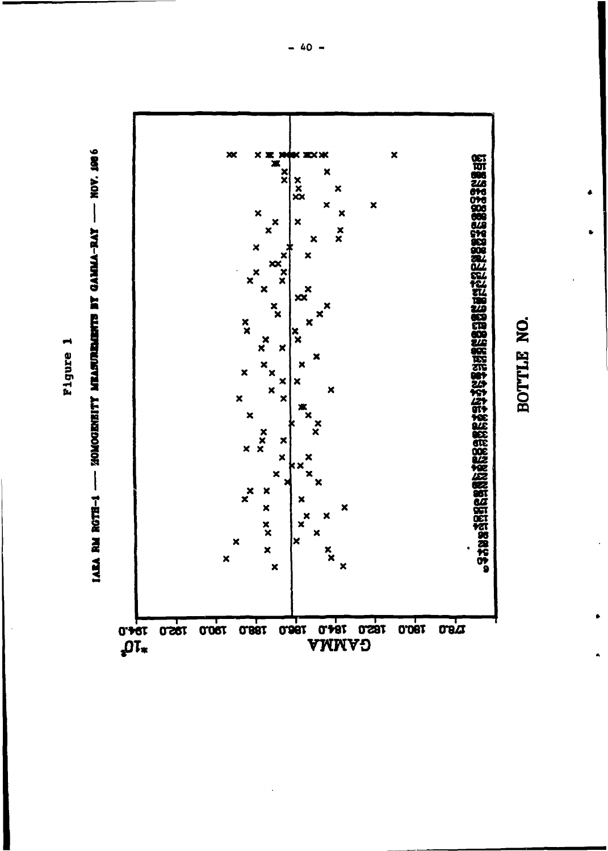

Figure 1

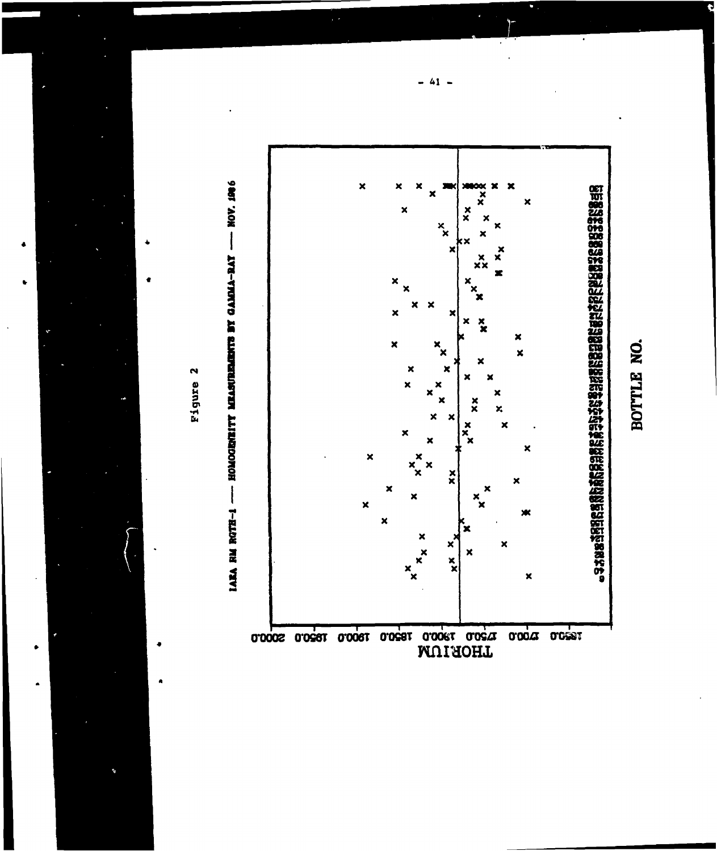

 $\bullet$ 

 $\bullet$ 





BOTTLE NO.

 $41 -$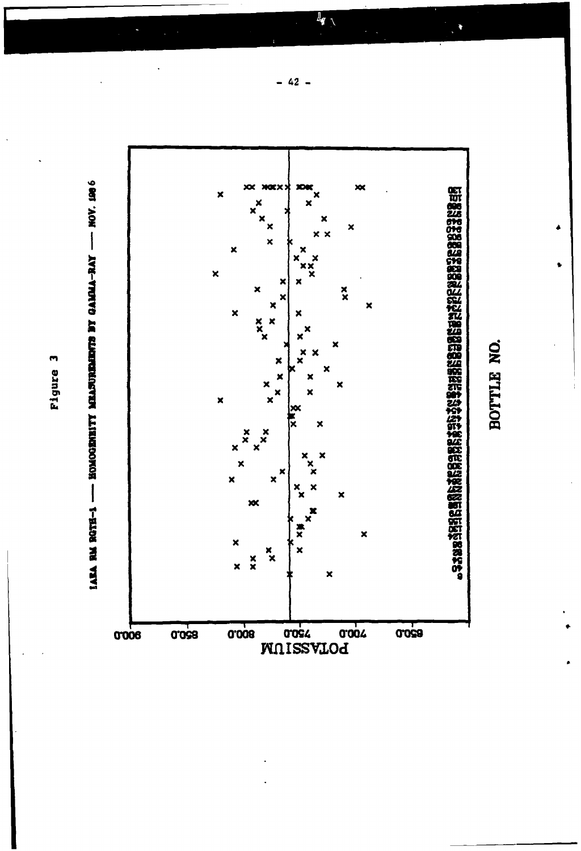

Figure 3



 $42 -$ 

 $\overline{\mathbf{I}_{\mathbf{y}}}$ 

 $\begin{matrix} \bullet \\ \bullet \end{matrix}$ 

BOTTLE NO.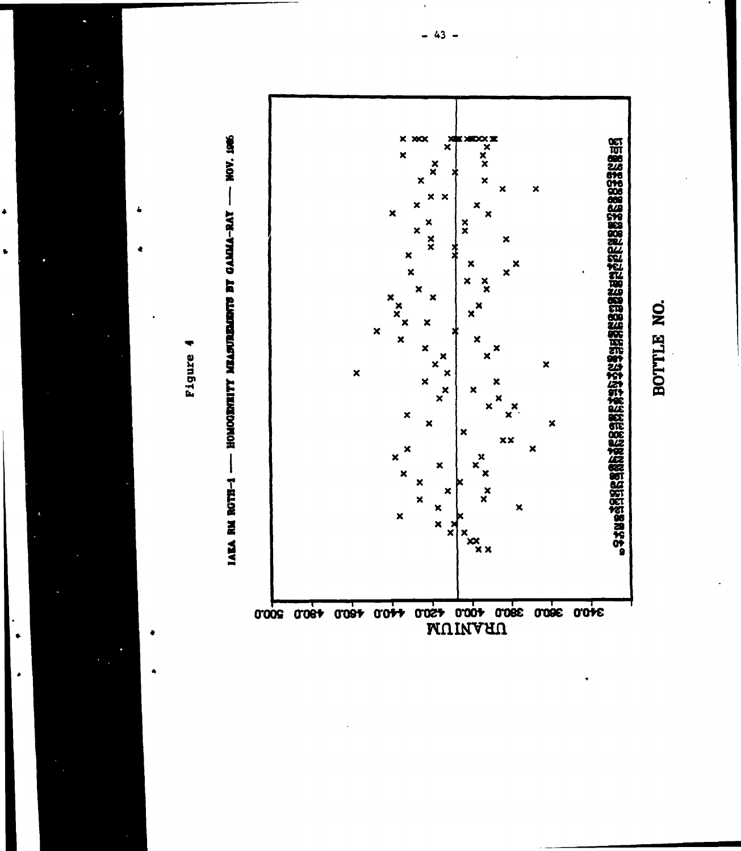



Pigure

è

 $\bullet$ 

 $43 -$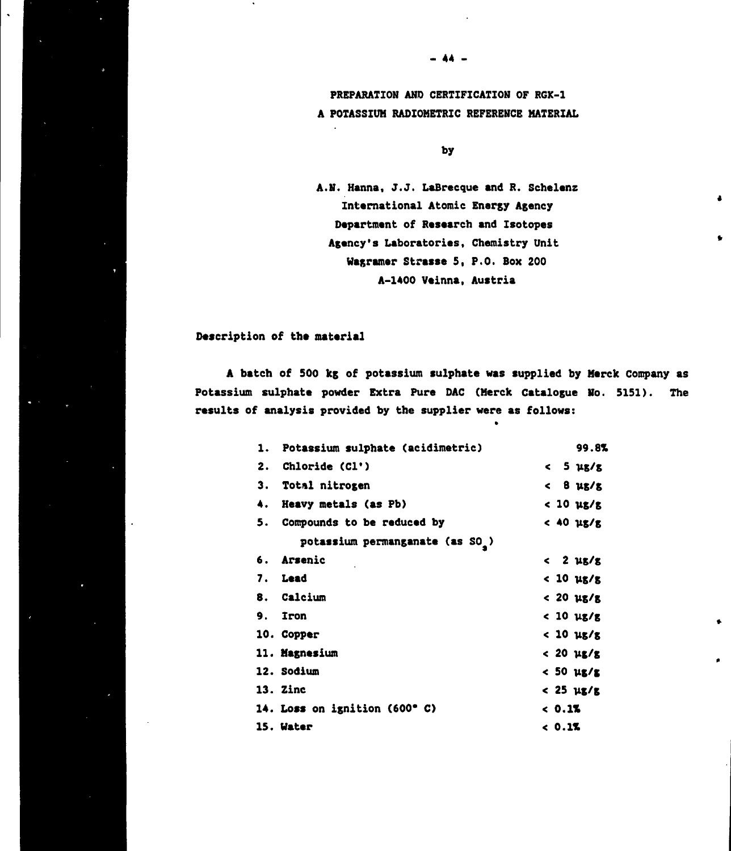**PREPARATION AND CERTIFICATION OF RGK-1 A POTASSIUM RADIOHETRIC REFERENCE MATERIAL**

**- 44 -**

**by**

**A.N. Hanna, J.J. LaBrecque and R. Schelenz International Atomic Energy Agency Department of Research and Isotopes Agency's Laboratories, Chemistry Unit Wagramer Strasse 5, P.O. Box 200 A-1400 Veinna, Austria**

 $\bullet$ 

### **Description of the material**

**A batch of 500 kg of potassium sulphate was supplied by Merck Company as Potassium sulphate powder Extra Pure DAC (Merck Catalogue No. 5151). The results of analysis provided by the supplier were as follows:**

|    | 1. Potassium sulphate (acidimetric)          | 99.8%                         |
|----|----------------------------------------------|-------------------------------|
| 2. | Chloride (Cl')                               | $<$ 5 $\mu$ g/g               |
|    | 3. Total nitrogen                            | $<$ 8 $\mu$ g/g               |
| 4. | Heavy metals (as Pb)                         | $< 10 \text{ }\mu\text{s/s}$  |
|    | Compounds to be reduced by                   | $<$ 40 $\mu$ g/g              |
|    | potassium permanganate (as SO <sub>2</sub> ) |                               |
|    | 6. Arsenic                                   | $<$ 2 $\mu$ g/g               |
|    | 7. Lead                                      | < 10 µg/g                     |
|    | 8. Calcium                                   | $< 20 \text{ }\mu\text{s/s}$  |
| 9. | <b>Iron</b>                                  | $< 10 \, \text{u} \text{s/s}$ |
|    | 10. Copper                                   | $< 10 \text{ }\mu\text{s/s}$  |
|    | 11. Magnesium                                | $< 20 \text{ }\mu\text{g/s}$  |
|    | 12. Sodium                                   | $<$ 50 $\mu$ g/g              |
|    | 13. Zinc                                     | $< 25 \text{ }\mu\text{s/s}$  |
|    | 14. Loss on ignition (600°C)                 | 0.15                          |
|    | 15. Water                                    | < 0.15                        |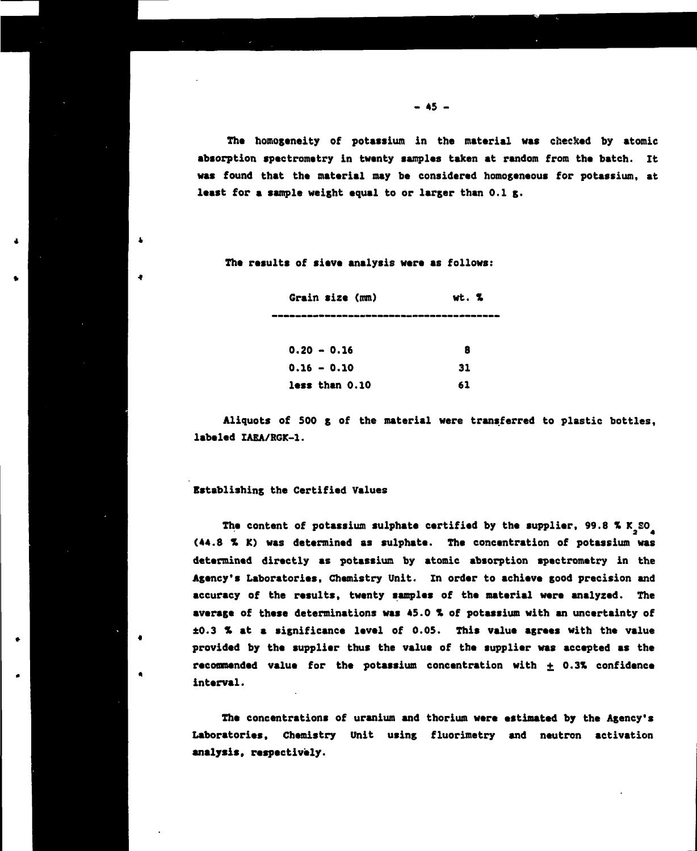**The homogeneity of potassium in the material was checked by atomic absorption spectrometry in twenty samples taken at random from the batch. It was found that the material may be considered homogeneous for potassium, at least for a sample weight equal to or larger than 0.1 g.**

**The results of sieve analysis were as follows:**

| Grain size (mm) | wt. % |
|-----------------|-------|
|                 |       |
| $0.20 - 0.16$   | 8     |
| $0.16 - 0.10$   | 31    |
| less than 0.10  | 61    |

**Aliquots of 500 g of the material were transferred to plastic bottles, labeled IAEA/RGK-1.**

### **Establishing the Certified Values**

 $\mathbf{a}$ 

٠

**The content of potassium sulphate certified by the supplier, 99.8 X<sup>K</sup> a E0 4 (44.8 X K) was determined as sulphate. The concentration of potassium was determined directly as potassium by atomic absorption spectrometry in the Agency's Laboratories, Chemistry Unit. In order to achieve good precision and accuracy of the results, twenty samples of the material were analyzed. The average of these determinations was 45.0 X of potassium with an uncertainty of ±0.3 X at a significance level of 0.05. This value agrees with the value provided by the supplier thus the value of the supplier was accepted as the recommended value for the potassium concentration with + 0.3X confidence interval.**

**The concentrations of uranium and thorium were estimated by the Agency's Laboratories, Chemistry Unit using fluorimetry and neutron activation analysis, respectively.**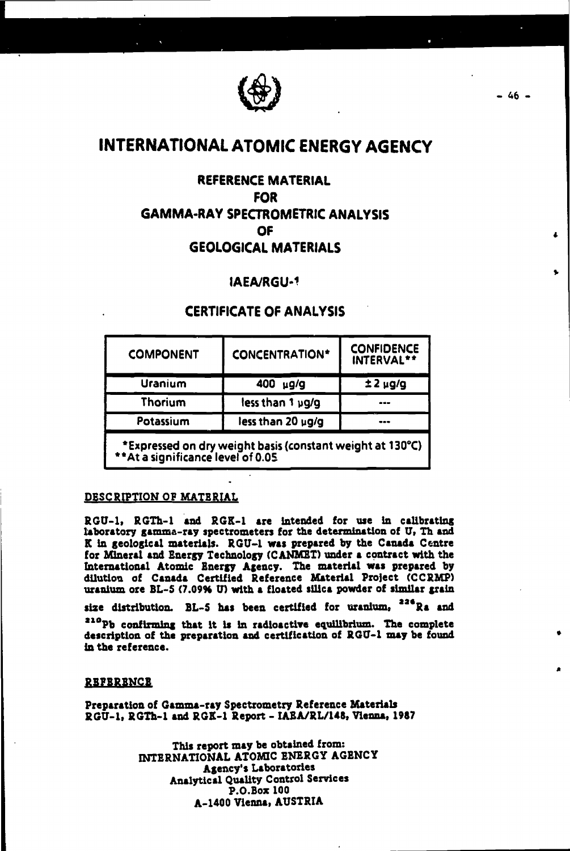

# **INTERNATIONAL ATOMIC ENERGY AGENCY**

## **REFERENCE MATERIAL FOR GAMMA-RAY SPECTROMETR1C ANALYSIS OF GEOLOGICAL MATERIALS**

## **IAEA/RGU-1**

## **CERTIFICATE OF ANALYSIS**

| <b>CONCENTRATION*</b> | INTERVAL**   |  |
|-----------------------|--------------|--|
| 400<br>$\mu$ g/g      | $±2 \mu g/g$ |  |
| less than 1 µg/g      |              |  |
| less than 20 µg/g     |              |  |
|                       |              |  |

**•Expressed on dry weight basis (constant weight at 130°C) \*\*At a significance level of 0.05**

## **DESCRIPTION OP MATERIAL**

**RGU-1, RGTh-1 and RGK-1 are Intended for use in calibrating laboratory gamma-ray spectrometers for the determination of U<sup>t</sup> Th and K in geological materials. RGU-1 was prepared by the Canada Centre for Mineral and Energy Technology (CANMET) under a contract with the International Atomic Energy Agency. The material was prepared by dilution of Canada Certified Reference Material Project (CCRMP) uranium ore BL-S (7.09% TJ) with a floated silica powder of similar grain**

size distribution. BL-5 has been certified for uranium, <sup>226</sup>Ra and

**aioPb confirming that It is In radioactive equilibrium. The complete description of the preparation and certification of RGU-1 may be found in the reference.**

#### **REFERENCE**

**Preparation of Gamma-ray Spectrometry Reference Materials RGU-1, RGTh-1 and RGK-1 Report - IASA/RL/M8, Vienna, 1987**

> **This report may be obtained from: INTERNATIONAL ATOMIC ENERGY AGENCY Agency's Laboratories Analytical Quality Control Services P.O.Box 100 A-1400 Vienna, AUSTRIA**

 $-46 -$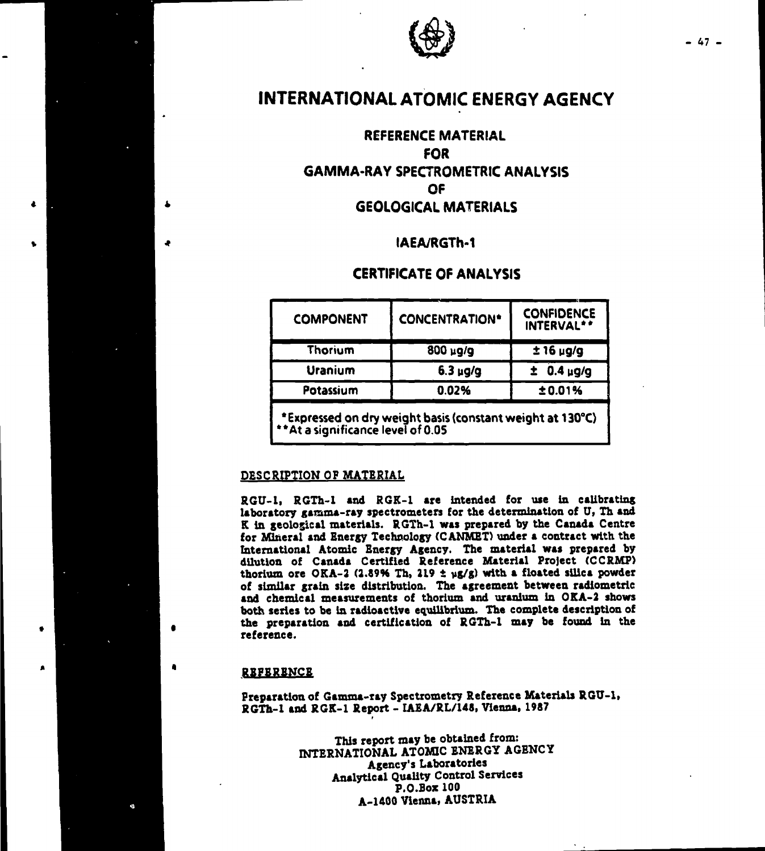

# **INTERNATIONAL ATOMIC ENERGY AGENCY**

## **REFERENCE MATERIAL FOR GAMMA-RAY SPECTROMETR1C ANALYSIS OF GEOLOGICAL MATERIALS**

## **IAEA/RGTh-1**

## **CERTIFICATE OF ANALYSIS**

| <b>COMPONENT</b>                                                                               | <b>CONCENTRATION*</b> | <b>CONFIDENCE</b><br>INTERVAL** |  |  |  |
|------------------------------------------------------------------------------------------------|-----------------------|---------------------------------|--|--|--|
| Thorium                                                                                        | $800 \mu g/g$         | $±16 \mu g/g$                   |  |  |  |
| Uranium                                                                                        | $6.3 \mu g/g$         | $0.4 \mu g/g$                   |  |  |  |
| Potassium                                                                                      | 0.02%                 | ±0.01%                          |  |  |  |
| *Expressed on dry weight basis (constant weight at 130°C)<br>**At a significance level of 0.05 |                       |                                 |  |  |  |

#### **DESCRIPTION OP MATERIAL**

**RGU-1, RGTh-1 and RGK-1 are intended for use in calibrating laboratory gamma-ray spectrometers for the determination of U, Th and K in geological materials. RGTh-1 was prepared by the Canada Centre for Mineral and Energy Technology (CANMET) under a contract with the International Atomic Energy Agency. The material was prepared by dilution of Canada Certified Reference Material Project (CCRMP) thorium ore OKA-2 (2.89% Th, 219 t yg/g) with a floated silica powder of similar grain size distribution. The agreement between radiometric and chemical measurements of thorium and uranium in OKA-2 shows both series to be in radioactive equilibrium. The complete description of the preparation and certification of RGTh-1 may be found in the reference.**

## **REFERENCE**

**Preparation of Gamma-ray Spectrometry Reference Materials RGU-1, RGTh-1 and RGK-1 Report - IAEA/RL/145, Vienna, 1987**

> **This report may be obtained from: INTERNATIONAL ATOMIC ENERGY AGENCY Agency's Laboratories Analytical Quality Control Services P.O.Box 100 A-1400 Vienna, AUSTRIA**